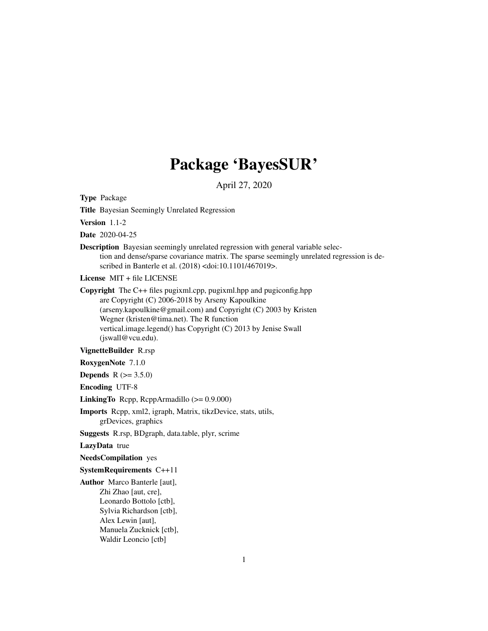# Package 'BayesSUR'

April 27, 2020

Type Package Title Bayesian Seemingly Unrelated Regression Version 1.1-2 Date 2020-04-25 Description Bayesian seemingly unrelated regression with general variable selection and dense/sparse covariance matrix. The sparse seemingly unrelated regression is described in Banterle et al. (2018) <doi:10.1101/467019>. License MIT + file LICENSE Copyright The C++ files pugixml.cpp, pugixml.hpp and pugiconfig.hpp are Copyright (C) 2006-2018 by Arseny Kapoulkine (arseny.kapoulkine@gmail.com) and Copyright (C) 2003 by Kristen Wegner (kristen@tima.net). The R function vertical.image.legend() has Copyright (C) 2013 by Jenise Swall (jswall@vcu.edu). VignetteBuilder R.rsp RoxygenNote 7.1.0 **Depends** R  $(>= 3.5.0)$ Encoding UTF-8 LinkingTo Rcpp, RcppArmadillo (>= 0.9.000) Imports Rcpp, xml2, igraph, Matrix, tikzDevice, stats, utils, grDevices, graphics Suggests R.rsp, BDgraph, data.table, plyr, scrime LazyData true NeedsCompilation yes SystemRequirements C++11 Author Marco Banterle [aut], Zhi Zhao [aut, cre], Leonardo Bottolo [ctb], Sylvia Richardson [ctb], Alex Lewin [aut], Manuela Zucknick [ctb], Waldir Leoncio [ctb]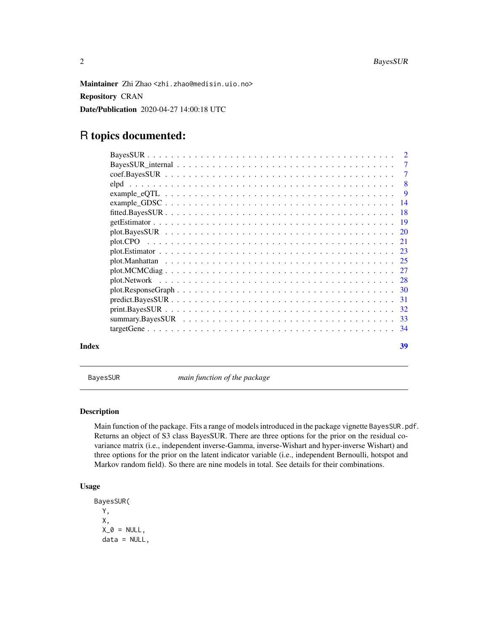<span id="page-1-0"></span>Maintainer Zhi Zhao <zhi.zhao@medisin.uio.no> Repository CRAN Date/Publication 2020-04-27 14:00:18 UTC

# R topics documented:

| Index | 39 |
|-------|----|

BayesSUR *main function of the package*

# Description

Main function of the package. Fits a range of models introduced in the package vignette BayesSUR.pdf. Returns an object of S3 class BayesSUR. There are three options for the prior on the residual covariance matrix (i.e., independent inverse-Gamma, inverse-Wishart and hyper-inverse Wishart) and three options for the prior on the latent indicator variable (i.e., independent Bernoulli, hotspot and Markov random field). So there are nine models in total. See details for their combinations.

```
BayesSUR(
 Y,
 X,
 X_0 = NULL,data = NULL,
```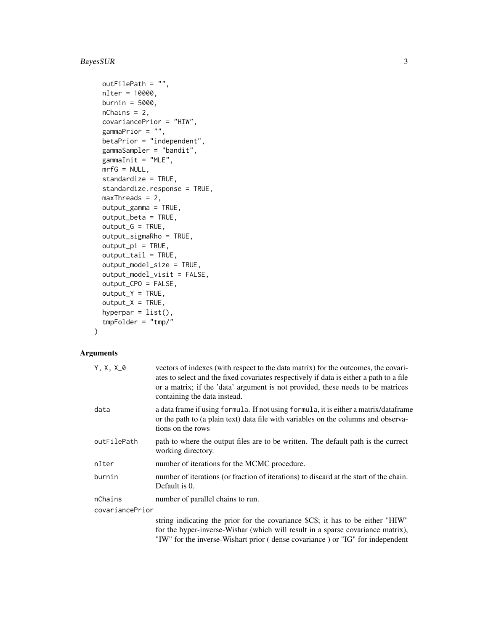# BayesSUR 3

```
outFilePath = "",
nIter = 10000,
burnin = 5000,
nChains = 2,
covariancePrior = "HIW",
gammaPrior = "",betaPrior = "independent",
gammaSampler = "bandit",
gammaInit = "MLE",
mrfG = NULL,standardize = TRUE,
standardize.response = TRUE,
maxThreads = 2,
output_gamma = TRUE,
output_beta = TRUE,
output_G = TRUE,output_sigmaRho = TRUE,
output_pi = TRUE,
output_tail = TRUE,
output_model_size = TRUE,
output_model_visit = FALSE,
output_CPO = FALSE,
output_Y = TRUE,output_X = TRUE,hyperpar = list(),
tmpFolder = "tmp/"
```

```
\mathcal{L}
```
#### Arguments

| $Y, X, X_0$     | vectors of indexes (with respect to the data matrix) for the outcomes, the covari-<br>ates to select and the fixed covariates respectively if data is either a path to a file<br>or a matrix; if the 'data' argument is not provided, these needs to be matrices<br>containing the data instead. |
|-----------------|--------------------------------------------------------------------------------------------------------------------------------------------------------------------------------------------------------------------------------------------------------------------------------------------------|
| data            | a data frame if using formula. If not using formula, it is either a matrix/dataframe<br>or the path to (a plain text) data file with variables on the columns and observa-<br>tions on the rows                                                                                                  |
| outFilePath     | path to where the output files are to be written. The default path is the currect<br>working directory.                                                                                                                                                                                          |
| nIter           | number of iterations for the MCMC procedure.                                                                                                                                                                                                                                                     |
| burnin          | number of iterations (or fraction of iterations) to discard at the start of the chain.<br>Default is 0.                                                                                                                                                                                          |
| nChains         | number of parallel chains to run.                                                                                                                                                                                                                                                                |
| covariancePrior |                                                                                                                                                                                                                                                                                                  |
|                 | string indicating the prior for the covariance \$C\$; it has to be either "HIW"<br>for the hyper-inverse-Wishar (which will result in a sparse covariance matrix),<br>"IW" for the inverse-Wishart prior (dense covariance) or "IG" for independent                                              |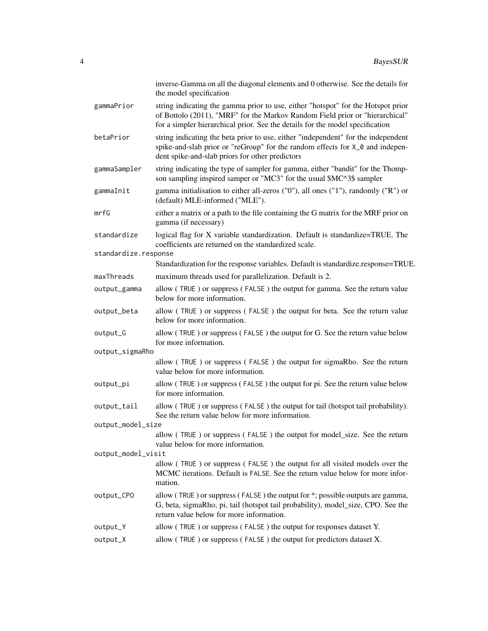|                      | inverse-Gamma on all the diagonal elements and 0 otherwise. See the details for<br>the model specification                                                                                                                                        |
|----------------------|---------------------------------------------------------------------------------------------------------------------------------------------------------------------------------------------------------------------------------------------------|
| gammaPrior           | string indicating the gamma prior to use, either "hotspot" for the Hotspot prior<br>of Bottolo (2011), "MRF" for the Markov Random Field prior or "hierarchical"<br>for a simpler hierarchical prior. See the details for the model specification |
| betaPrior            | string indicating the beta prior to use, either "independent" for the independent<br>spike-and-slab prior or "reGroup" for the random effects for X_0 and indepen-<br>dent spike-and-slab priors for other predictors                             |
| gammaSampler         | string indicating the type of sampler for gamma, either "bandit" for the Thomp-<br>son sampling inspired samper or "MC3" for the usual \$MC^3\$ sampler                                                                                           |
| gammaInit            | gamma initialisation to either all-zeros ("0"), all ones ("1"), randomly ("R") or<br>(default) MLE-informed ("MLE").                                                                                                                              |
| mrfG                 | either a matrix or a path to the file containing the G matrix for the MRF prior on<br>gamma (if necessary)                                                                                                                                        |
| standardize          | logical flag for X variable standardization. Default is standardize=TRUE. The<br>coefficients are returned on the standardized scale.                                                                                                             |
| standardize.response |                                                                                                                                                                                                                                                   |
|                      | Standardization for the response variables. Default is standardize.response=TRUE.                                                                                                                                                                 |
| maxThreads           | maximum threads used for parallelization. Default is 2.                                                                                                                                                                                           |
| output_gamma         | allow (TRUE) or suppress (FALSE) the output for gamma. See the return value<br>below for more information.                                                                                                                                        |
| output_beta          | allow (TRUE) or suppress (FALSE) the output for beta. See the return value<br>below for more information.                                                                                                                                         |
| output_G             | allow (TRUE) or suppress (FALSE) the output for G. See the return value below<br>for more information.                                                                                                                                            |
| output_sigmaRho      |                                                                                                                                                                                                                                                   |
|                      | allow (TRUE) or suppress (FALSE) the output for sigmaRho. See the return<br>value below for more information.                                                                                                                                     |
| output_pi            | allow (TRUE) or suppress (FALSE) the output for pi. See the return value below<br>for more information.                                                                                                                                           |
| output_tail          | allow (TRUE) or suppress (FALSE) the output for tail (hotspot tail probability).<br>See the return value below for more information.                                                                                                              |
| output_model_size    |                                                                                                                                                                                                                                                   |
|                      | allow (TRUE) or suppress (FALSE) the output for model_size. See the return<br>value below for more information.                                                                                                                                   |
| output_model_visit   |                                                                                                                                                                                                                                                   |
|                      | allow (TRUE) or suppress (FALSE) the output for all visited models over the<br>MCMC iterations. Default is FALSE. See the return value below for more infor-<br>mation.                                                                           |
| output_CPO           | allow (TRUE) or suppress (FALSE) the output for *; possible outputs are gamma,<br>G, beta, sigmaRho, pi, tail (hotspot tail probability), model_size, CPO. See the<br>return value below for more information.                                    |
| output_Y             | allow (TRUE) or suppress (FALSE) the output for responses dataset Y.                                                                                                                                                                              |
| output_X             | allow (TRUE) or suppress (FALSE) the output for predictors dataset X.                                                                                                                                                                             |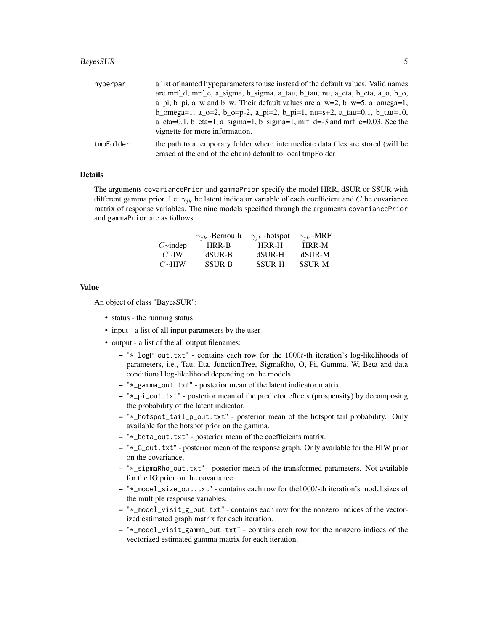#### BayesSUR 5

| hyperpar  | a list of named hyperarmeters to use instead of the default values. Valid names<br>are mrf_d, mrf_e, a_sigma, b_sigma, a_tau, b_tau, nu, a_eta, b_eta, a_o, b_o,<br>a_pi, b_pi, a_w and b_w. Their default values are a_w=2, b_w=5, a_omega=1,<br>b_omega=1, a_o=2, b_o=p-2, a_pi=2, b_pi=1, nu=s+2, a_tau=0.1, b_tau=10, |
|-----------|---------------------------------------------------------------------------------------------------------------------------------------------------------------------------------------------------------------------------------------------------------------------------------------------------------------------------|
|           | $a_{\text{at}} = 0.1$ , b $_{\text{at}} = 1$ , a $_{\text{sigma}} = 1$ , b $_{\text{sigma}} = 1$ , mrf $_{\text{at}} = -3$ and mrf $_{\text{at}} = 0.03$ . See the<br>vignette for more information.                                                                                                                      |
| tmpFolder | the path to a temporary folder where intermediate data files are stored (will be<br>erased at the end of the chain) default to local tmpFolder                                                                                                                                                                            |

# Details

The arguments covariancePrior and gammaPrior specify the model HRR, dSUR or SSUR with different gamma prior. Let  $\gamma_{jk}$  be latent indicator variable of each coefficient and C be covariance matrix of response variables. The nine models specified through the arguments covariancePrior and gammaPrior are as follows.

|                      | $\gamma_{ik}$ ~Bernoulli | $\gamma_{ik}$ ~hotspot | $\gamma_{ik}$ ~MRF |
|----------------------|--------------------------|------------------------|--------------------|
| $C\rightarrow$ indep | HRR-B                    | <b>HRR-H</b>           | HRR-M              |
| $C\simeq$ IW         | dSUR-B                   | dSUR-H                 | dSUR-M             |
| $C\rightarrow$ HIW   | <b>SSUR-B</b>            | <b>SSUR-H</b>          | <b>SSUR-M</b>      |

#### Value

An object of class "BayesSUR":

- status the running status
- input a list of all input parameters by the user
- output a list of the all output filenames:
	- $-$  " $\star$ \_logP\_out.txt" contains each row for the 1000t-th iteration's log-likelihoods of parameters, i.e., Tau, Eta, JunctionTree, SigmaRho, O, Pi, Gamma, W, Beta and data conditional log-likelihood depending on the models.
	- "\*\_gamma\_out.txt" posterior mean of the latent indicator matrix.
	- "\*\_pi\_out.txt" posterior mean of the predictor effects (prospensity) by decomposing the probability of the latent indicator.
	- "\*\_hotspot\_tail\_p\_out.txt" posterior mean of the hotspot tail probability. Only available for the hotspot prior on the gamma.
	- "\*\_beta\_out.txt" posterior mean of the coefficients matrix.
	- "\*\_G\_out.txt" posterior mean of the response graph. Only available for the HIW prior on the covariance.
	- "\*\_sigmaRho\_out.txt" posterior mean of the transformed parameters. Not available for the IG prior on the covariance.
	- "\*\_model\_size\_out.txt" contains each row for the1000t-th iteration's model sizes of the multiple response variables.
	- "\*\_model\_visit\_g\_out.txt" contains each row for the nonzero indices of the vectorized estimated graph matrix for each iteration.
	- "\*\_model\_visit\_gamma\_out.txt" contains each row for the nonzero indices of the vectorized estimated gamma matrix for each iteration.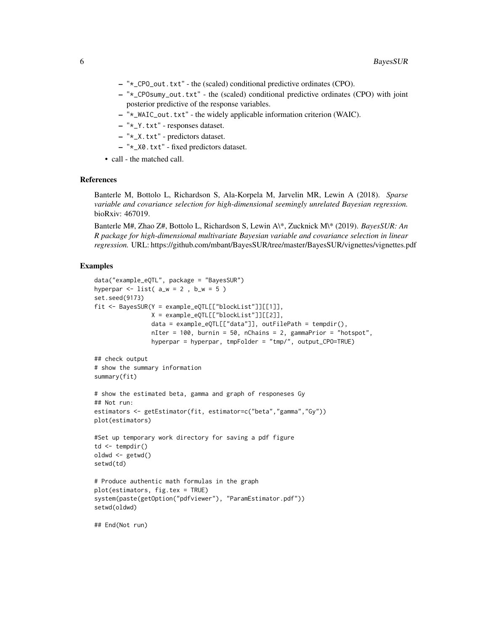- "\*\_CPO\_out.txt" the (scaled) conditional predictive ordinates (CPO).
- "\*\_CPOsumy\_out.txt" the (scaled) conditional predictive ordinates (CPO) with joint posterior predictive of the response variables.
- "\*\_WAIC\_out.txt" the widely applicable information criterion (WAIC).
- "\*\_Y.txt" responses dataset.
- "\*\_X.txt" predictors dataset.
- "\*\_X0.txt" fixed predictors dataset.
- call the matched call.

# References

Banterle M, Bottolo L, Richardson S, Ala-Korpela M, Jarvelin MR, Lewin A (2018). *Sparse variable and covariance selection for high-dimensional seemingly unrelated Bayesian regression.* bioRxiv: 467019.

Banterle M#, Zhao Z#, Bottolo L, Richardson S, Lewin A\\*, Zucknick M\\* (2019). *BayesSUR: An R package for high-dimensional multivariate Bayesian variable and covariance selection in linear regression.* URL: https://github.com/mbant/BayesSUR/tree/master/BayesSUR/vignettes/vignettes.pdf

# Examples

```
data("example_eQTL", package = "BayesSUR")
hyperpar \le list( a_w = 2, b_w = 5)
set.seed(9173)
fit <- BayesSUR(Y = example_eQTL[["blockList"]][[1]],
                X = example_eQTL[["blockList"]][[2]],
                data = example_eQTL[["data"]], outFilePath = tempdir(),
                nIter = 100, burnin = 50, nChains = 2, gammaPrior = "hotspot",
                hyperpar = hyperpar, tmpFolder = "tmp/", output_CPO=TRUE)
## check output
# show the summary information
summary(fit)
# show the estimated beta, gamma and graph of responeses Gy
## Not run:
estimators <- getEstimator(fit, estimator=c("beta","gamma","Gy"))
plot(estimators)
#Set up temporary work directory for saving a pdf figure
td \leftarrow tempdir()oldwd <- getwd()
setwd(td)
# Produce authentic math formulas in the graph
plot(estimators, fig.tex = TRUE)
system(paste(getOption("pdfviewer"), "ParamEstimator.pdf"))
setwd(oldwd)
## End(Not run)
```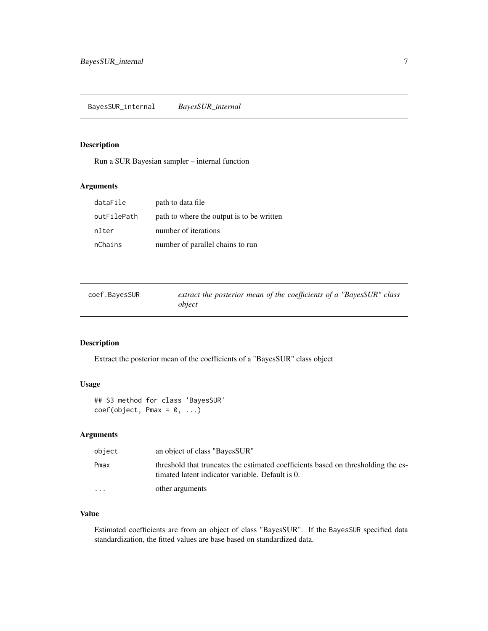# <span id="page-6-0"></span>Description

Run a SUR Bayesian sampler – internal function

# Arguments

| dataFile    | path to data file                         |
|-------------|-------------------------------------------|
| outFilePath | path to where the output is to be written |
| nIter       | number of iterations                      |
| nChains     | number of parallel chains to run          |

| coef.BayesSUR | extract the posterior mean of the coefficients of a "BayesSUR" class |  |
|---------------|----------------------------------------------------------------------|--|
|               | object                                                               |  |

# Description

Extract the posterior mean of the coefficients of a "BayesSUR" class object

# Usage

## S3 method for class 'BayesSUR'  $coef(object, Pmax = 0, ...)$ 

# Arguments

| object   | an object of class "BayesSUR"                                                                                                         |
|----------|---------------------------------------------------------------------------------------------------------------------------------------|
| Pmax     | threshold that truncates the estimated coefficients based on thresholding the es-<br>timated latent indicator variable. Default is 0. |
| $\cdots$ | other arguments                                                                                                                       |

# Value

Estimated coefficients are from an object of class "BayesSUR". If the BayesSUR specified data standardization, the fitted values are base based on standardized data.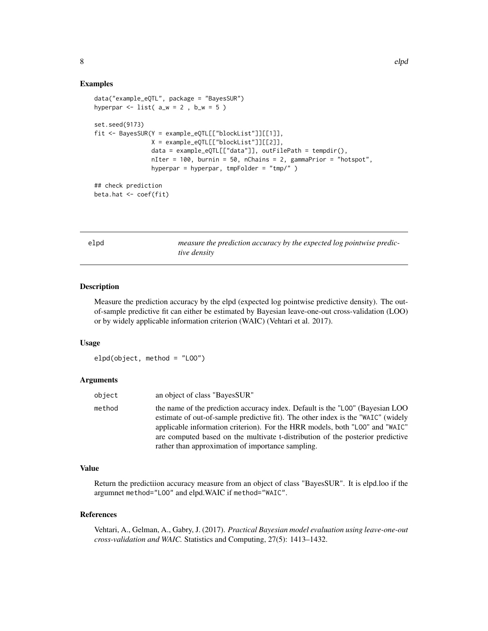#### Examples

```
data("example_eQTL", package = "BayesSUR")
hyperpar \le list( a_w = 2, b_w = 5)
set.seed(9173)
fit <- BayesSUR(Y = example_eQTL[["blockList"]][[1]],
               X = example_eQTL[["blockList"]][[2]],
                data = example_eQTL[["data"]], outFilePath = tempdir(),
                nIter = 100, burnin = 50, nChains = 2, gammaPrior = "hotspot",
                hyperpar = hyperpar, tmpFolder = "tmp/")## check prediction
beta.hat <- coef(fit)
```
elpd *measure the prediction accuracy by the expected log pointwise predictive density*

#### Description

Measure the prediction accuracy by the elpd (expected log pointwise predictive density). The outof-sample predictive fit can either be estimated by Bayesian leave-one-out cross-validation (LOO) or by widely applicable information criterion (WAIC) (Vehtari et al. 2017).

#### Usage

```
elpd(object, method = "LOO")
```
#### Arguments

| object | an object of class "BayesSUR"                                                                                                                                                                                                                                                                                                                                                            |
|--------|------------------------------------------------------------------------------------------------------------------------------------------------------------------------------------------------------------------------------------------------------------------------------------------------------------------------------------------------------------------------------------------|
| method | the name of the prediction accuracy index. Default is the "LOO" (Bayesian LOO<br>estimate of out-of-sample predictive fit). The other index is the "WAIC" (widely<br>applicable information criterion). For the HRR models, both "LOO" and "WAIC"<br>are computed based on the multivate t-distribution of the posterior predictive<br>rather than approximation of importance sampling. |

# Value

Return the predictiion accuracy measure from an object of class "BayesSUR". It is elpd.loo if the argumnet method="LOO" and elpd.WAIC if method="WAIC".

# References

Vehtari, A., Gelman, A., Gabry, J. (2017). *Practical Bayesian model evaluation using leave-one-out cross-validation and WAIC.* Statistics and Computing, 27(5): 1413–1432.

<span id="page-7-0"></span>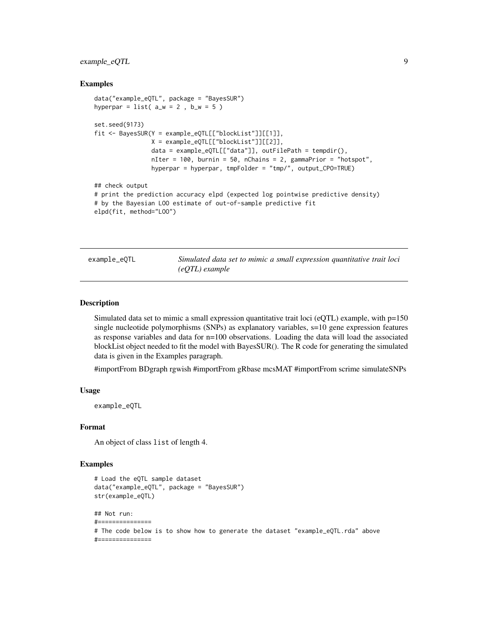# <span id="page-8-0"></span>example\_eQTL 9

#### Examples

```
data("example_eQTL", package = "BayesSUR")
hyperpar = list( a_w = 2, b_w = 5)set.seed(9173)
fit <- BayesSUR(Y = example_eQTL[["blockList"]][[1]],
               X = example_eQTL[["blockList"]][[2]],
                data = example_eQTL[["data"]], outFilePath = tempdir(),
                nIter = 100, burnin = 50, nChains = 2, gammaPrior = "hotspot",
                hyperpar = hyperpar, tmpFolder = "tmp/", output_CPO=TRUE)
## check output
# print the prediction accuracy elpd (expected log pointwise predictive density)
# by the Bayesian LOO estimate of out-of-sample predictive fit
elpd(fit, method="LOO")
```
example\_eQTL *Simulated data set to mimic a small expression quantitative trait loci (eQTL) example*

#### Description

Simulated data set to mimic a small expression quantitative trait loci (eQTL) example, with  $p=150$ single nucleotide polymorphisms (SNPs) as explanatory variables, s=10 gene expression features as response variables and data for n=100 observations. Loading the data will load the associated blockList object needed to fit the model with BayesSUR(). The R code for generating the simulated data is given in the Examples paragraph.

#importFrom BDgraph rgwish #importFrom gRbase mcsMAT #importFrom scrime simulateSNPs

# Usage

example\_eQTL

#### Format

An object of class list of length 4.

### Examples

```
# Load the eQTL sample dataset
data("example_eQTL", package = "BayesSUR")
str(example_eQTL)
## Not run:
#===============
# The code below is to show how to generate the dataset "example_eQTL.rda" above
#===============
```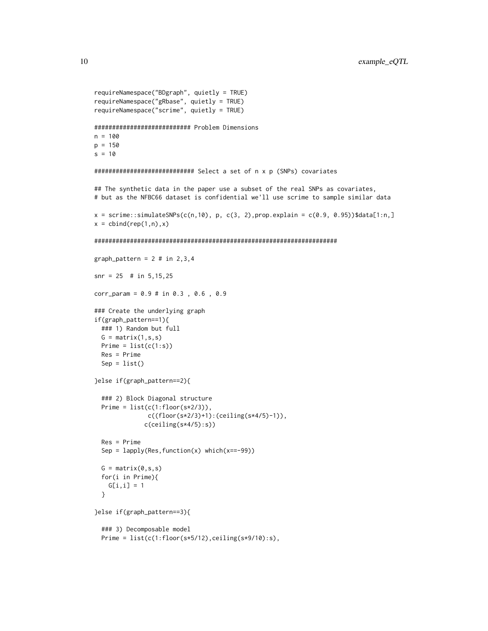```
requireNamespace("BDgraph", quietly = TRUE)
requireNamespace("gRbase", quietly = TRUE)
requireNamespace("scrime", quietly = TRUE)
########################### Problem Dimensions
n = 100
p = 150
s = 10############################ Select a set of n x p (SNPs) covariates
## The synthetic data in the paper use a subset of the real SNPs as covariates,
# but as the NFBC66 dataset is confidential we'll use scrime to sample similar data
x = \text{scrime}::\text{simulatesNPs}(c(n,10), p, c(3, 2), \text{prop.} \exp \left[ -c(0.9, 0.95) \right)$data[1:n,]
x = \text{cbind}(\text{rep}(1, n), x)####################################################################
graph_pattern = 2 # in 2,3,4snr = 25 # in 5,15,25
corr_param = 0.9 # in 0.3 , 0.6 , 0.9
### Create the underlying graph
if(graph_pattern==1){
  ### 1) Random but full
  G = matrix(1, s, s)Prime = list(c(1:s))Res = Prime
  Sep = list()}else if(graph_pattern==2){
  ### 2) Block Diagonal structure
  Prime = list(c(1:floor(s*2/3)),c((floor(s*2/3)+1):(ceiling(s*4/5)-1)),
              c(ceiling(s*4/5):s))
  Res = Prime
  Sep = lapply(Res, function(x) which(x==-99))
  G = matrix(0, s, s)for(i in Prime){
    G[i, i] = 1}
}else if(graph_pattern==3){
  ### 3) Decomposable model
  Prime = list(c(1:floor(s*5/12),ceiling(s*9/10):s),
```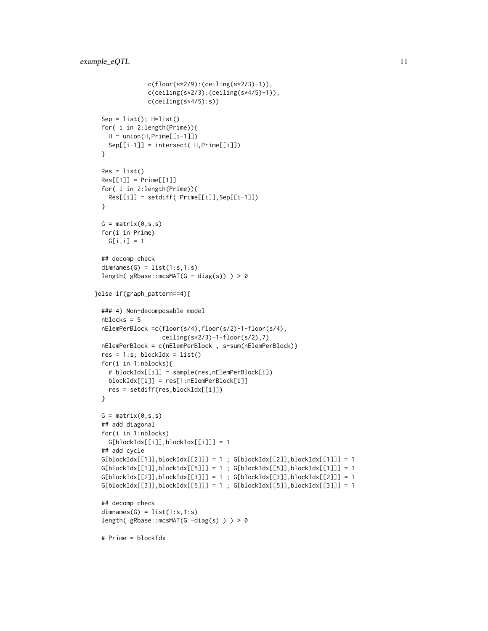```
c(floor(s*2/9):(ceiling(s*2/3)-1)),
               c(ceiling(s*2/3):(ceiling(s*4/5)-1)),
              c(ceiling(s*4/5):s))
 Sep = list(); H=list()for( i in 2:length(Prime)){
   H = union(H, Prime[[i-1]])Sep[[i-1]] = intersect( H,Prime[[i]])
 }
 Res = list()Res[[1]] = Prime[[1]]for( i in 2:length(Prime)){
   Res[[i]] = setdiff(Prime[[i]], Sep[[i-1]])}
 G = matrix(0, s, s)for(i in Prime)
   G[i, i] = 1## decomp check
 dimensiones(G) = list(1:s,1:s)length( gRbase::mcsMAT(G - diag(s)) ) > 0
}else if(graph_pattern==4){
 ### 4) Non-decomposable model
 nblocks = 5
 nElemPerBlock =c(floor(s/4),floor(s/2)-1-floor(s/4),
                  ceiling(s*2/3)-1-floor(s/2),7)
 nElemPerBlock = c(nElemPerBlock , s-sum(nElemPerBlock))
 res = 1:s; blockIdx = list()for(i in 1:nblocks){
   # blockIdx[[i]] = sample(res,nElemPerBlock[i])
   blockIdx[[i]] = res[1:nElemPerBlock[i]]
   res = setdiff(res,blockIdx[[i]])
 }
 G = matrix(0, s, s)## add diagonal
 for(i in 1:nblocks)
   G[blockIdx[[i]],blockIdx[[i]]] = 1
 ## add cycle
 G[blockIdx[[1]], blockIdx[[2]]] = 1; G[blockIdx[[2]], blockIdx[[1]]] = 1G[blockIdx[[1]], blockIdx[[5]]] = 1; G[blockIdx[[5]], blockIdx[[1]]] = 1G[blockIdx[[2]], blockIdx[[3]]] = 1; G[blockIdx[[3]], blockIdx[[2]]] = 1G[blockIdx[[3]], blockIdx[[5]]] = 1; G[blockIdx[[5]], blockIdx[[3]]] = 1## decomp check
 dimensiones(G) = list(1:s, 1:s)length( gRbase::mcsMAT(G -diag(s) ) ) > 0
 # Prime = blockIdx
```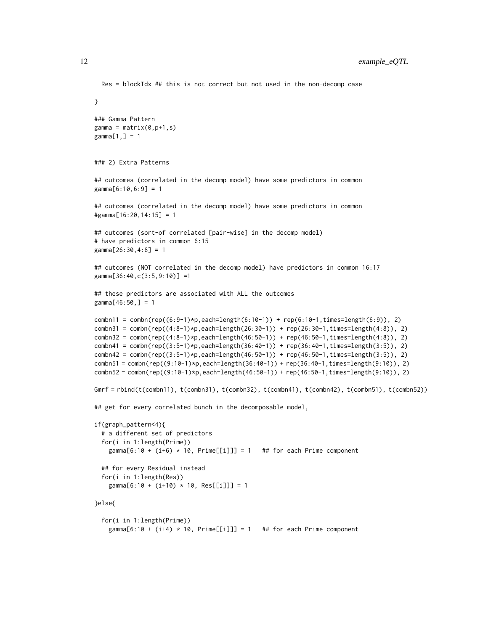```
Res = blockIdx ## this is not correct but not used in the non-decomp case
}
### Gamma Pattern
gamma = matrix(0,p+1,s)gamma[1,] = 1### 2) Extra Patterns
## outcomes (correlated in the decomp model) have some predictors in common
gamma[6:10,6:9] = 1
## outcomes (correlated in the decomp model) have some predictors in common
#gamma[16:20,14:15] = 1
## outcomes (sort-of correlated [pair-wise] in the decomp model)
# have predictors in common 6:15
gamma[26:30,4:8] = 1
## outcomes (NOT correlated in the decomp model) have predictors in common 16:17
gamma[36:40,c(3:5,9:10)] =1
## these predictors are associated with ALL the outcomes
gamma[46:50,] = 1
combn11 = combn(rep((6:9-1)*p, each=length(6:10-1)) + rep(6:10-1, times=length(6:9)), 2)
combn31 = combn(rep((4:8-1)*p,each=length(26:30-1)) + rep(26:30-1,times=length(4:8)), 2)
{\tt combn32} = {\tt combn}({\tt rep}((4:8-1)*p,{\tt each=length}(46:50-1)) + {\tt rep}(46:50-1,{\tt times=length}(4:8)), 2)combn41 = combn(rep((3:5-1)*p, each=length(36:40-1)) + rep(36:40-1, times=length(3:5)), 2)
{\tt combn42} = {\tt combn}({\tt rep}((3:5-1)*p,{\tt each=length}(46:50-1)) + {\tt rep}(46:50-1,{\tt times=length}(3:5)), 2)combn51 = combn(rep((9:10-1)*p,each=length(36:40-1)) + rep(36:40-1,times=length(9:10)), 2)
combn52 = combn(rep((9:10-1)*p,each=length(46:50-1)) + rep(46:50-1,times=length(9:10)), 2)
Gmrf = rbind(t(combn11), t(combn31), t(combn32), t(combn41), t(combn42), t(combn51), t(combn52))
## get for every correlated bunch in the decomposable model,
if(graph_pattern<4){
 # a different set of predictors
 for(i in 1:length(Prime))
    gamma[6:10 + (i+6) * 10, Prime[[i]]] = 1 ## for each Prime component
 ## for every Residual instead
 for(i in 1:length(Res))
    gamma[6:10 + (i+10) * 10, Res[[i]]] = 1}else{
 for(i in 1:length(Prime))
    gamma[6:10 + (i+4) * 10, Prime[[i]]] = 1 ## for each Prime component
```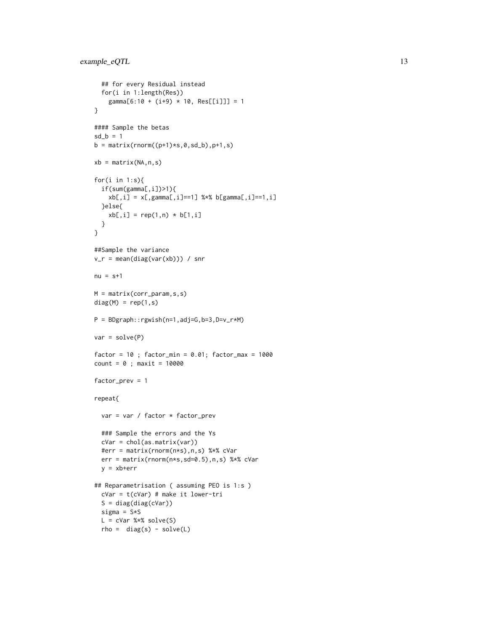```
## for every Residual instead
  for(i in 1:length(Res))
   gamma[6:10 + (i+9) * 10, Res[[i]]] = 1}
#### Sample the betas
sd_b = 1b = matrix(rnorm((p+1)*s, 0, sd_b), p+1, s)xb = matrix(NA, n, s)for(i in 1:s){
  if(sum(gamma[,i])>1){
    xb[,i] = x[, gamma[, i] == 1] %*% b[gamma[,i]==1,i]
  }else{
   xb[, i] = rep(1, n) * b[1, i]}
}
##Sample the variance
v_r = mean(diag(var(xb))) / snr
nu = s+1M = matrix(corr_param,s,s)
diag(M) = rep(1,s)P = BDgraph::rgwish(n=1,adj=G,b=3,D=v_r*M)
var = solve(P)factor = 10; factor\_min = 0.01; factor\_max = 1000count = 0; maxit = 10000factor_prev = 1
repeat{
  var = var / factor * factor_prev
  ### Sample the errors and the Ys
  cVar = chol(as.matrix(var))
  #err = matrix(rnorm(n*s),n,s) %*% cVar
  err = matrix(rnorm(n*s,sd=0.5),n,s) %*% cVar
  y = xb+err
## Reparametrisation ( assuming PEO is 1:s )
  cVar = t(cVar) # make it lower-tri
  S = diag(diag(cVar))
  sigma = S*SL = cVar %*% solve(S)rho = diag(s) - solve(L)
```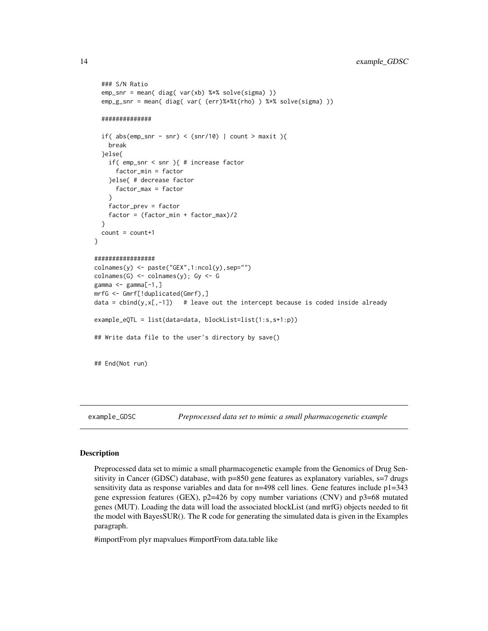```
### S/N Ratio
 emp_snr = mean( diag( var(xb) %*% solve(sigma) ))
 emp_g_snr = mean( diag( var( (err)%*%t(rho) ) %*% solve(sigma) ))
 ##############
 if( abs(em\_snr - snr) < (snr/10) | count > maxit ){
    break
 }else{
    if( emp_snr < snr ){ # increase factor
      factor_min = factor
    }else{ # decrease factor
      factor_max = factor
    }
    factor_prev = factor
    factor = (factor_min + factor_max)/2
 }
 count = count + 1}
#################
\text{colnames}(y) \leq \text{past}(x'',1:\text{ncol}(y),\text{sep}^{w}colnames(G) <- colnames(y); Gy <- G
gamma \leq gamma[-1,]mrfG <- Gmrf[!duplicated(Gmrf),]
data = cbind(y, x[,-1]) # leave out the intercept because is coded inside already
example_eQTL = list(data=data, blockList=list(1:s,s+1:p))
## Write data file to the user's directory by save()
## End(Not run)
```
example\_GDSC *Preprocessed data set to mimic a small pharmacogenetic example*

#### **Description**

Preprocessed data set to mimic a small pharmacogenetic example from the Genomics of Drug Sensitivity in Cancer (GDSC) database, with p=850 gene features as explanatory variables, s=7 drugs sensitivity data as response variables and data for  $n=498$  cell lines. Gene features include  $p1=343$ gene expression features (GEX),  $p2=426$  by copy number variations (CNV) and  $p3=68$  mutated genes (MUT). Loading the data will load the associated blockList (and mrfG) objects needed to fit the model with BayesSUR(). The R code for generating the simulated data is given in the Examples paragraph.

#importFrom plyr mapvalues #importFrom data.table like

<span id="page-13-0"></span>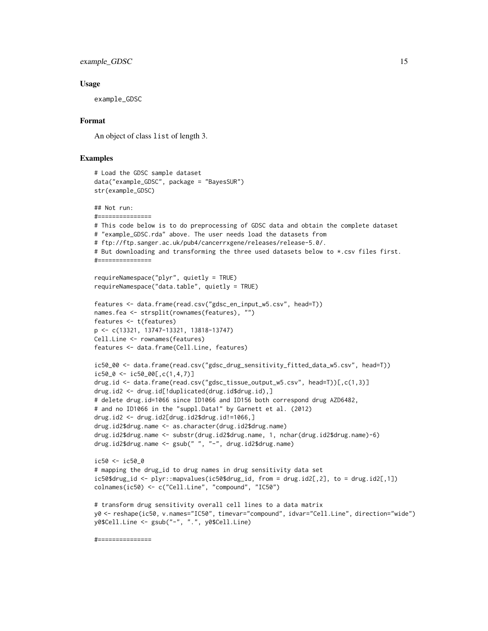#### example\_GDSC 15

#### Usage

example\_GDSC

#===============

# Format

An object of class list of length 3.

# Examples

```
# Load the GDSC sample dataset
data("example_GDSC", package = "BayesSUR")
str(example_GDSC)
## Not run:
#===============
# This code below is to do preprocessing of GDSC data and obtain the complete dataset
# "example_GDSC.rda" above. The user needs load the datasets from
# ftp://ftp.sanger.ac.uk/pub4/cancerrxgene/releases/release-5.0/.
# But downloading and transforming the three used datasets below to *.csv files first.
#===============
requireNamespace("plyr", quietly = TRUE)
requireNamespace("data.table", quietly = TRUE)
features <- data.frame(read.csv("gdsc_en_input_w5.csv", head=T))
names.fea <- strsplit(rownames(features), "")
features <- t(features)
p <- c(13321, 13747-13321, 13818-13747)
Cell.Line <- rownames(features)
features <- data.frame(Cell.Line, features)
ic50_00 <- data.frame(read.csv("gdsc_drug_sensitivity_fitted_data_w5.csv", head=T))
ic50_0 \leftarrow ic50_00[,c(1,4,7)]drug.id <- data.frame(read.csv("gdsc_tissue_output_w5.csv", head=T))[,c(1,3)]
drug.id2 <- drug.id[!duplicated(drug.id$drug.id),]
# delete drug.id=1066 since ID1066 and ID156 both correspond drug AZD6482,
# and no ID1066 in the "suppl.Data1" by Garnett et al. (2012)
drug.id2 <- drug.id2[drug.id2$drug.id!=1066,]
drug.id2$drug.name <- as.character(drug.id2$drug.name)
drug.id2$drug.name <- substr(drug.id2$drug.name, 1, nchar(drug.id2$drug.name)-6)
drug.id2$drug.name <- gsub(" ", "-", drug.id2$drug.name)
ic50 <- ic50_0
# mapping the drug_id to drug names in drug sensitivity data set
ic50$drug_id <- plyr::mapvalues(ic50$drug_id, from = drug.id2[,2], to = drug.id2[,1])
colnames(ic50) <- c("Cell.Line", "compound", "IC50")
# transform drug sensitivity overall cell lines to a data matrix
y0 <- reshape(ic50, v.names="IC50", timevar="compound", idvar="Cell.Line", direction="wide")
y0$Cell.Line <- gsub("-", ".", y0$Cell.Line)
```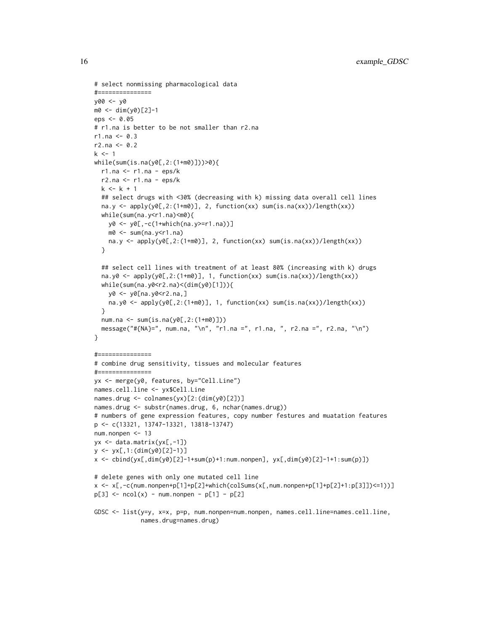```
# select nonmissing pharmacological data
#===============
y00 <- y0
m0 <- dim(y0)[2]-1
eps <- 0.05
# r1.na is better to be not smaller than r2.na
r1.na < -0.3r2.na < -0.2k < -1while(sum(is.na(y0[,2:(1+m0)]))>0){
  r1.na <- r1.na - eps/k
  r2.na \le r1.na - eps/kk < -k + 1## select drugs with <30% (decreasing with k) missing data overall cell lines
  na.y <- apply(y0[,2:(1+m0)], 2, function(xx) sum(is.na(xx))/length(xx))
  while(sum(na.y<r1.na)<m0){
   y0 <- y0[,-c(1+which(na.y>=r1.na))]
   m0 <- sum(na.y<r1.na)
   na.y <- apply(y0[,2:(1+m0)], 2, function(xx) sum(is.na(xx))/length(xx))
  }
  ## select cell lines with treatment of at least 80% (increasing with k) drugs
  na.y0 <- apply(y0[,2:(1+m0)], 1, function(xx) sum(is.na(xx))/length(xx))
  while(sum(na.y0 < r2.na) < (dim(y0)[1]))y0 <- y0[na.y0<r2.na,]
   na.y0 <- apply(y0[,2:(1+m0)], 1, function(xx) sum(is.na(xx))/length(xx))\lambdanum.na <- sum(is.na(y0[,2:(1+m0)]))
  message("#{NA}=", num.na, "\n", "r1.na =", r1.na, ", r2.na =", r2.na, "\n")
}
#===============
# combine drug sensitivity, tissues and molecular features
#===============
yx <- merge(y0, features, by="Cell.Line")
names.cell.line <- yx$Cell.Line
names.drug <- colnames(yx)[2:(dim(y0)[2])]
names.drug <- substr(names.drug, 6, nchar(names.drug))
# numbers of gene expression features, copy number festures and muatation features
p <- c(13321, 13747-13321, 13818-13747)
num.nonpen <- 13
yx <- data.matrix(yx[,-1])
y <- yx[,1:(dim(y0)[2]-1)]
x <- cbind(yx[,dim(y0)[2]-1+sum(p)+1:num.nonpen], yx[,dim(y0)[2]-1+1:sum(p)])
# delete genes with only one mutated cell line
x \le x (num.nonpen+p[1]+p[2]+which(colSums(x[,num.nonpen+p[1]+p[2]+1:p[3]])<=1))]
p[3] <- ncol(x) - num.nonpen - p[1] - p[2]GDSC <- list(y=y, x=x, p=p, num.nonpen=num.nonpen, names.cell.line=names.cell.line,
             names.drug=names.drug)
```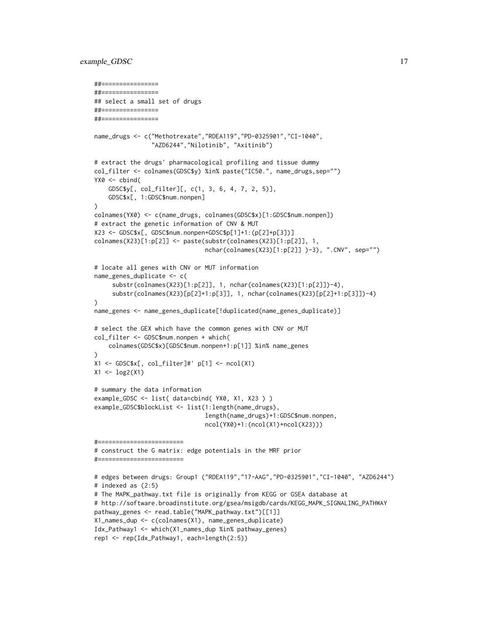#### example\_GDSC 17

```
##================
##================
## select a small set of drugs
##================
##================
name_drugs <- c("Methotrexate","RDEA119","PD-0325901","CI-1040",
                "AZD6244","Nilotinib", "Axitinib")
# extract the drugs' pharmacological profiling and tissue dummy
col_filter <- colnames(GDSC$y) %in% paste("IC50.", name_drugs,sep="")
YX0 \le cbind(
    GDSC$y[, col_filter][, c(1, 3, 6, 4, 7, 2, 5)],
    GDSC$x[, 1:GDSC$num.nonpen]
)
colnames(YX0) <- c(name_drugs, colnames(GDSC$x)[1:GDSC$num.nonpen])
# extract the genetic information of CNV & MUT
X23 <- GDSC$x[, GDSC$num.nonpen+GDSC$p[1]+1:(p[2]+p[3])]
colnames(X23)[1:p[2]] <- paste(substr(colnames(X23)[1:p[2]], 1,
                               nchar(colnames(X23)[1:p[2]] )-3), ".CNV", sep="")
# locate all genes with CNV or MUT information
name_genes_duplicate <- c(
     substr(colnames(X23)[1:p[2]], 1, nchar(colnames(X23)[1:p[2]])-4),
     substr(colnames(X23)[p[2]+1:p[3]], 1, nchar(colnames(X23)[p[2]+1:p[3]])-4)
)
name_genes <- name_genes_duplicate[!duplicated(name_genes_duplicate)]
# select the GEX which have the common genes with CNV or MUT
col_filter <- GDSC$num.nonpen + which(
    colnames(GDSC$x)[GDSC$num.nonpen+1:p[1]] %in% name_genes
)
X1 <- GDSC$x[, col_filter]#' p[1] <- ncol(X1)
X1 <- log2(X1)
# summary the data information
example_GDSC <- list( data=cbind( YX0, X1, X23 ) )
example_GDSC$blockList <- list(1:length(name_drugs),
                               length(name_drugs)+1:GDSC$num.nonpen,
                               ncol(YX0)+1:(ncol(X1)+ncol(X23)))
#========================
# construct the G matrix: edge potentials in the MRF prior
#========================
# edges between drugs: Group1 ("RDEA119","17-AAG","PD-0325901","CI-1040", "AZD6244")
# indexed as (2:5)
# The MAPK_pathway.txt file is originally from KEGG or GSEA database at
# http://software.broadinstitute.org/gsea/msigdb/cards/KEGG_MAPK_SIGNALING_PATHWAY
pathway_genes <- read.table("MAPK_pathway.txt")[[1]]
X1_names_dup <- c(colnames(X1), name_genes_duplicate)
Idx_Pathway1 <- which(X1_names_dup %in% pathway_genes)
rep1 <- rep(Idx_Pathway1, each=length(2:5))
```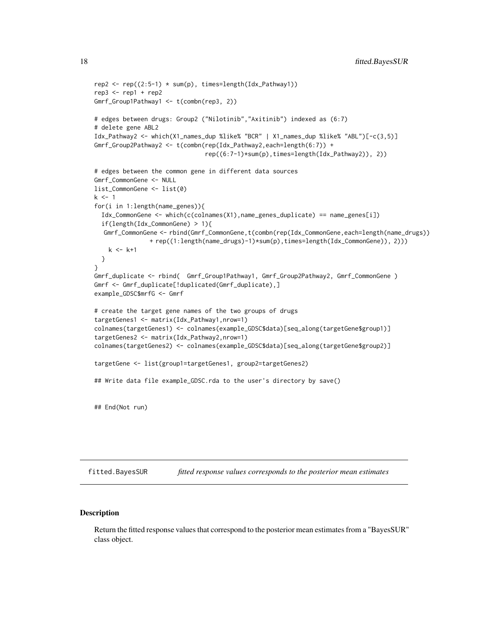```
rep2 <- rep((2:5-1) * sum(p), times=length(Idx_Pathway1))rep3 \leq rep1 + rep2Gmrf_Group1Pathway1 <- t(combn(rep3, 2))
# edges between drugs: Group2 ("Nilotinib","Axitinib") indexed as (6:7)
# delete gene ABL2
Idx_Pathway2 <- which(X1_names_dup %like% "BCR" | X1_names_dup %like% "ABL")[-c(3,5)]
Gmrf_Group2Pathway2 <- t(combn(rep(Idx_Pathway2,each=length(6:7)) +
                               rep((6:7-1)*sum(p),times=length(Idx_Pathway2)), 2))
# edges between the common gene in different data sources
Gmrf_CommonGene <- NULL
list_CommonGene <- list(0)
k < -1for(i in 1:length(name_genes)){
  Idx_CommonGene <- which(c(colnames(X1),name_genes_duplicate) == name_genes[i])
  if(length(Idx_CommonGene) > 1){
  Gmrf_CommonGene <- rbind(Gmrf_CommonGene,t(combn(rep(Idx_CommonGene,each=length(name_drugs))
               + rep((1:length(name_drugs)-1)*sum(p),times=length(Idx_CommonGene)), 2)))
    k < - k+1}
}
Gmrf_duplicate <- rbind( Gmrf_Group1Pathway1, Gmrf_Group2Pathway2, Gmrf_CommonGene )
Gmrf <- Gmrf_duplicate[!duplicated(Gmrf_duplicate),]
example_GDSC$mrfG <- Gmrf
# create the target gene names of the two groups of drugs
targetGenes1 <- matrix(Idx_Pathway1,nrow=1)
colnames(targetGenes1) <- colnames(example_GDSC$data)[seq_along(targetGene$group1)]
targetGenes2 <- matrix(Idx_Pathway2,nrow=1)
colnames(targetGenes2) <- colnames(example_GDSC$data)[seq_along(targetGene$group2)]
targetGene <- list(group1=targetGenes1, group2=targetGenes2)
## Write data file example_GDSC.rda to the user's directory by save()
## End(Not run)
```
fitted.BayesSUR *fitted response values corresponds to the posterior mean estimates*

### Description

Return the fitted response values that correspond to the posterior mean estimates from a "BayesSUR" class object.

<span id="page-17-0"></span>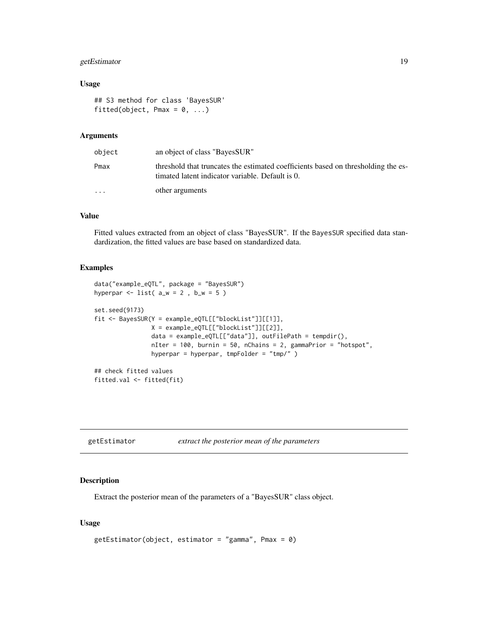# <span id="page-18-0"></span>getEstimator 19

# Usage

```
## S3 method for class 'BayesSUR'
fitted(object, Pmax = 0, ...)
```
# Arguments

| object                  | an object of class "BayesSUR"                                                                                                         |
|-------------------------|---------------------------------------------------------------------------------------------------------------------------------------|
| Pmax                    | threshold that truncates the estimated coefficients based on thresholding the es-<br>timated latent indicator variable. Default is 0. |
| $\cdot$ $\cdot$ $\cdot$ | other arguments                                                                                                                       |

# Value

Fitted values extracted from an object of class "BayesSUR". If the BayesSUR specified data standardization, the fitted values are base based on standardized data.

# Examples

```
data("example_eQTL", package = "BayesSUR")
hyperpar \leftarrow list( a_w = 2, b_w = 5)
set.seed(9173)
fit <- BayesSUR(Y = example_eQTL[["blockList"]][[1]],
                X = example_eQTL[["blockList"]][[2]],
                data = example_eQTL[["data"]], outFilePath = tempdir(),
                nIter = 100, burnin = 50, nChains = 2, gammaPrior = "hotspot",
                hyperpar = hyperpar, tmpFolder = "tmp/" )
## check fitted values
fitted.val <- fitted(fit)
```
#### Description

Extract the posterior mean of the parameters of a "BayesSUR" class object.

```
getEstimator(object, estimator = "gamma", Pmax = 0)
```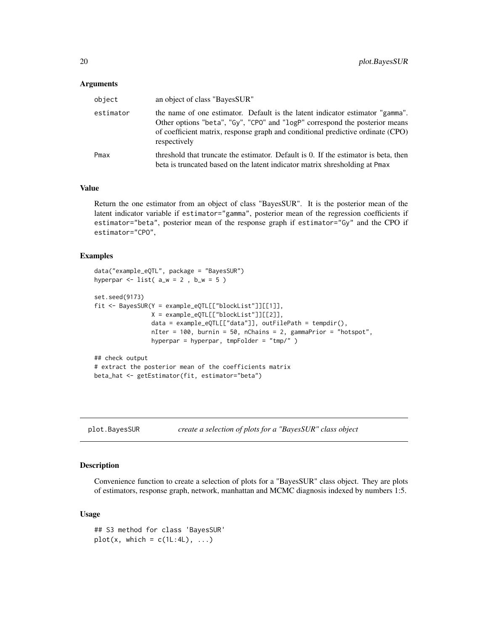<span id="page-19-0"></span>

| object    | an object of class "BayesSUR"                                                                                                                                                                                                                                   |
|-----------|-----------------------------------------------------------------------------------------------------------------------------------------------------------------------------------------------------------------------------------------------------------------|
| estimator | the name of one estimator. Default is the latent indicator estimator "gamma".<br>Other options "beta", "Gy", "CPO" and "logP" correspond the posterior means<br>of coefficient matrix, response graph and conditional predictive ordinate (CPO)<br>respectively |
| Pmax      | threshold that truncate the estimator. Default is 0. If the estimator is beta, then<br>beta is truncated based on the latent indicator matrix shresholding at Pmax                                                                                              |

# Value

Return the one estimator from an object of class "BayesSUR". It is the posterior mean of the latent indicator variable if estimator="gamma", posterior mean of the regression coefficients if estimator="beta", posterior mean of the response graph if estimator="Gy" and the CPO if estimator="CPO",

#### Examples

```
data("example_eQTL", package = "BayesSUR")
hyperpar \le list( a_w = 2, b_w = 5)
set.seed(9173)
fit <- BayesSUR(Y = example_eQTL[["blockList"]][[1]],
                X = example_eQTL[["blockList"]][[2]],
                data = example_eQTL[["data"]], outFilePath = tempdir(),
                nIter = 100, burnin = 50, nChains = 2, gammaPrior = "hotspot",
                hyperpar = hyperpar, tmpFolder = "tmp/" )
## check output
# extract the posterior mean of the coefficients matrix
beta_hat <- getEstimator(fit, estimator="beta")
```
plot.BayesSUR *create a selection of plots for a "BayesSUR" class object*

# Description

Convenience function to create a selection of plots for a "BayesSUR" class object. They are plots of estimators, response graph, network, manhattan and MCMC diagnosis indexed by numbers 1:5.

```
## S3 method for class 'BayesSUR'
plot(x, which = c(1L:4L), ...)
```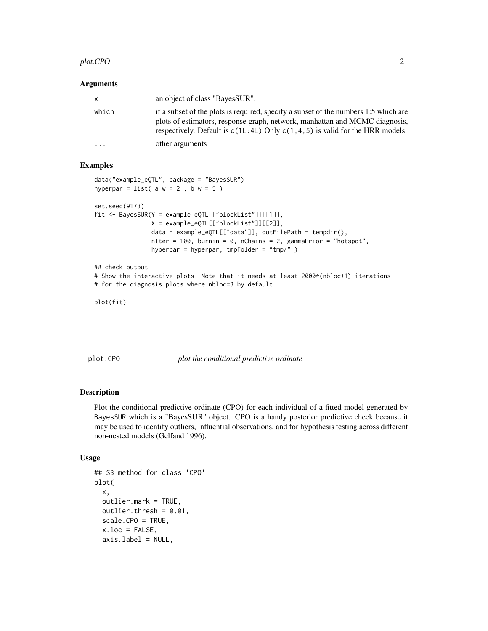#### <span id="page-20-0"></span>plot.CPO 21

#### Arguments

| x         | an object of class "BayesSUR".                                                                                                                                                                                                                           |
|-----------|----------------------------------------------------------------------------------------------------------------------------------------------------------------------------------------------------------------------------------------------------------|
| which     | if a subset of the plots is required, specify a subset of the numbers 1:5 which are<br>plots of estimators, response graph, network, manhattan and MCMC diagnosis,<br>respectively. Default is $c(1L:4L)$ Only $c(1, 4, 5)$ is valid for the HRR models. |
| $\ddotsc$ | other arguments                                                                                                                                                                                                                                          |

#### Examples

```
data("example_eQTL", package = "BayesSUR")
hyperpar = list( a_w = 2 , b_w = 5 )
```

```
set.seed(9173)
fit <- BayesSUR(Y = example_eQTL[["blockList"]][[1]],
               X = example_eQTL[["blockList"]][[2]],
                data = example_eQTL[["data"]], outFilePath = tempdir(),
                nIter = 100, burnin = 0, nChains = 2, gammaPrior = "hotspot",
                hyperpar = hyperpar, tmpFolder = "tmp/" )
```

```
## check output
# Show the interactive plots. Note that it needs at least 2000*(nbloc+1) iterations
# for the diagnosis plots where nbloc=3 by default
```

```
plot(fit)
```
plot.CPO *plot the conditional predictive ordinate*

# Description

Plot the conditional predictive ordinate (CPO) for each individual of a fitted model generated by BayesSUR which is a "BayesSUR" object. CPO is a handy posterior predictive check because it may be used to identify outliers, influential observations, and for hypothesis testing across different non-nested models (Gelfand 1996).

```
## S3 method for class 'CPO'
plot(
  x,
  outlier.mark = TRUE,
  outlier.thresh = 0.01,
  scale.CPO = TRUE,
  x.loc = FALSE,axis.label = NULL,
```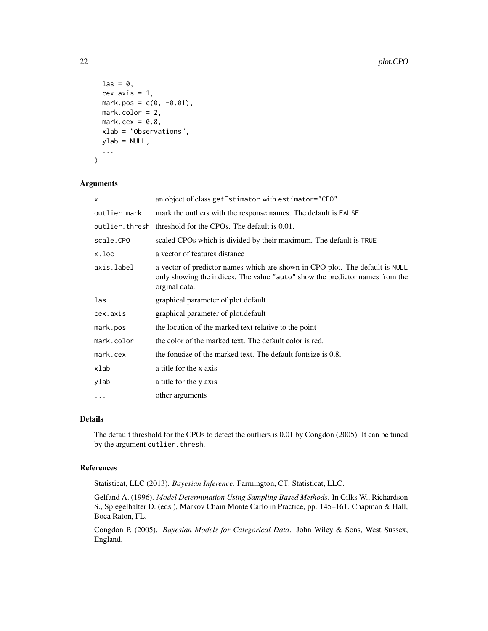```
\text{las} = \emptyset,
  cex. axis = 1,mark.pos = c(0, -0.01),
 mark.color = 2,
 mark.cex = 0.8,
 xlab = "Observations",
 ylab = NULL,
  ...
)
```

| x            | an object of class getEstimator with estimator="CPO"                                                                                                                          |  |
|--------------|-------------------------------------------------------------------------------------------------------------------------------------------------------------------------------|--|
| outlier.mark | mark the outliers with the response names. The default is FALSE                                                                                                               |  |
|              | outlier. thresh threshold for the CPOs. The default is 0.01.                                                                                                                  |  |
| scale.CPO    | scaled CPOs which is divided by their maximum. The default is TRUE                                                                                                            |  |
| x.loc        | a vector of features distance                                                                                                                                                 |  |
| axis.label   | a vector of predictor names which are shown in CPO plot. The default is NULL<br>only showing the indices. The value "auto" show the predictor names from the<br>orginal data. |  |
| las          | graphical parameter of plot.default                                                                                                                                           |  |
| cex.axis     | graphical parameter of plot.default                                                                                                                                           |  |
| mark.pos     | the location of the marked text relative to the point                                                                                                                         |  |
| mark.color   | the color of the marked text. The default color is red.                                                                                                                       |  |
| mark.cex     | the fontsize of the marked text. The default fontsize is 0.8.                                                                                                                 |  |
| xlab         | a title for the x axis                                                                                                                                                        |  |
| ylab         | a title for the y axis                                                                                                                                                        |  |
| $\cdots$     | other arguments                                                                                                                                                               |  |

# Details

The default threshold for the CPOs to detect the outliers is 0.01 by Congdon (2005). It can be tuned by the argument outlier.thresh.

# References

Statisticat, LLC (2013). *Bayesian Inference.* Farmington, CT: Statisticat, LLC.

Gelfand A. (1996). *Model Determination Using Sampling Based Methods*. In Gilks W., Richardson S., Spiegelhalter D. (eds.), Markov Chain Monte Carlo in Practice, pp. 145–161. Chapman & Hall, Boca Raton, FL.

Congdon P. (2005). *Bayesian Models for Categorical Data*. John Wiley & Sons, West Sussex, England.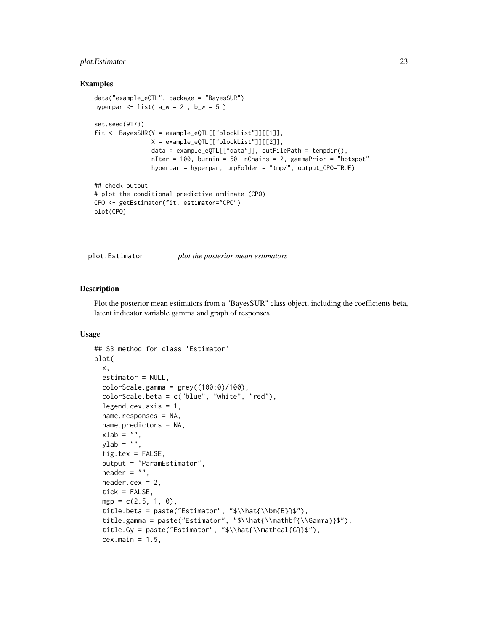# <span id="page-22-0"></span>plot.Estimator 23

#### Examples

```
data("example_eQTL", package = "BayesSUR")
hyperpar \le list( a_w = 2, b_w = 5)
set.seed(9173)
fit <- BayesSUR(Y = example_eQTL[["blockList"]][[1]],
               X = example_eQTL[["blockList"]][[2]],
                data = example_eQTL[["data"]], outFilePath = tempdir(),
                nIter = 100, burnin = 50, nChains = 2, gammaPrior = "hotspot",
                hyperpar = hyperpar, tmpFolder = "tmp/", output_CPO=TRUE)
## check output
# plot the conditional predictive ordinate (CPO)
CPO <- getEstimator(fit, estimator="CPO")
plot(CPO)
```
plot.Estimator *plot the posterior mean estimators*

# Description

Plot the posterior mean estimators from a "BayesSUR" class object, including the coefficients beta, latent indicator variable gamma and graph of responses.

```
## S3 method for class 'Estimator'
plot(
 x,
  estimator = NULL,
  colorScale.gamma = grey((100:0)/100),colorScale.beta = c("blue", "white", "red"),
  legend.cex.axis = 1,
  name.responses = NA,
  name.predictors = NA,
  xlab = "",
 ylab = "",
  fig.tex = FALSE,
  output = "ParamEstimator",
  header = ",
  header.cex = 2,
  tick = FALSE,
 mgp = c(2.5, 1, 0),
  title.beta = paste("Estimator", "$\\hat{\\bm{B}}$"),
  title.gamma = paste("Estimator", "$\\hat{\\mathbf{\\Gamma}}$"),
  title.Gy = paste("Estimator", "$\\hat{\\mathcal{G}}$"),
  cex.main = 1.5,
```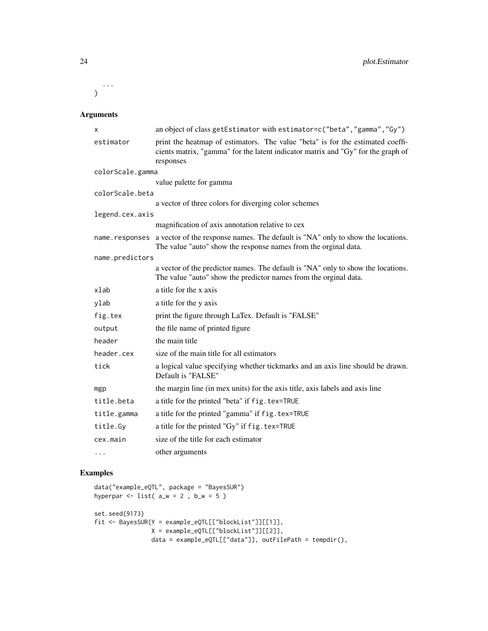...  $\mathcal{L}$ 

# Arguments

| x                | an object of class getEstimator with estimator=c("beta", "gamma", "Gy")                                                                                                         |  |
|------------------|---------------------------------------------------------------------------------------------------------------------------------------------------------------------------------|--|
| estimator        | print the heatmap of estimators. The value "beta" is for the estimated coeffi-<br>cients matrix, "gamma" for the latent indicator matrix and "Gy" for the graph of<br>responses |  |
| colorScale.gamma |                                                                                                                                                                                 |  |
|                  | value palette for gamma                                                                                                                                                         |  |
| colorScale.beta  |                                                                                                                                                                                 |  |
|                  | a vector of three colors for diverging color schemes                                                                                                                            |  |
| legend.cex.axis  |                                                                                                                                                                                 |  |
|                  | magnification of axis annotation relative to cex                                                                                                                                |  |
| name.responses   | a vector of the response names. The default is "NA" only to show the locations.<br>The value "auto" show the response names from the orginal data.                              |  |
| name.predictors  |                                                                                                                                                                                 |  |
|                  | a vector of the predictor names. The default is "NA" only to show the locations.<br>The value "auto" show the predictor names from the orginal data.                            |  |
| xlab             | a title for the x axis                                                                                                                                                          |  |
| ylab             | a title for the y axis                                                                                                                                                          |  |
| fig.tex          | print the figure through LaTex. Default is "FALSE"                                                                                                                              |  |
| output           | the file name of printed figure                                                                                                                                                 |  |
| header           | the main title                                                                                                                                                                  |  |
| header.cex       | size of the main title for all estimators                                                                                                                                       |  |
| tick             | a logical value specifying whether tickmarks and an axis line should be drawn.<br>Default is "FALSE"                                                                            |  |
| mgp              | the margin line (in mex units) for the axis title, axis labels and axis line                                                                                                    |  |
| title.beta       | a title for the printed "beta" if fig. tex=TRUE                                                                                                                                 |  |
| title.gamma      | a title for the printed "gamma" if fig.tex=TRUE                                                                                                                                 |  |
| title.Gy         | a title for the printed "Gy" if fig. tex=TRUE                                                                                                                                   |  |
| cex.main         | size of the title for each estimator                                                                                                                                            |  |
| $\cdots$         | other arguments                                                                                                                                                                 |  |

# Examples

```
data("example_eQTL", package = "BayesSUR")
hyperpar \le list( a_w = 2, b_w = 5)
set.seed(9173)
fit <- BayesSUR(Y = example_eQTL[["blockList"]][[1]],
               X = example_eQTL[["blockList"]][[2]],
               data = example_eQTL[["data"]], outFilePath = tempdir(),
```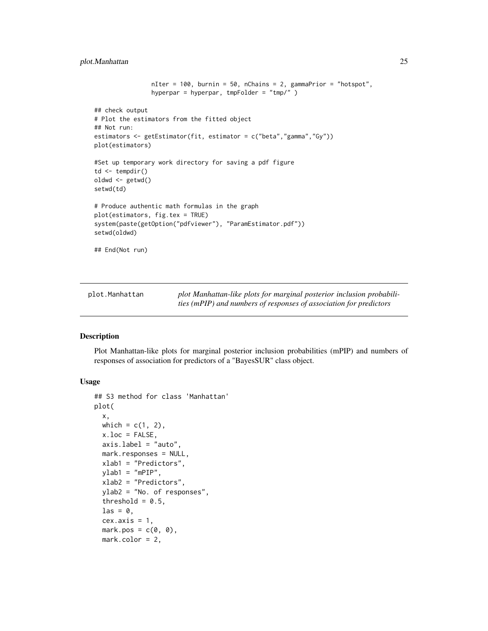# <span id="page-24-0"></span>plot.Manhattan 25

```
nIter = 100, burnin = 50, nChains = 2, gammaPrior = "hotspot",
                hyperpar = hyperpar, tmpFolder = "tmp/" )
## check output
# Plot the estimators from the fitted object
## Not run:
estimators <- getEstimator(fit, estimator = c("beta","gamma","Gy"))
plot(estimators)
#Set up temporary work directory for saving a pdf figure
td <- tempdir()
oldwd <- getwd()
setwd(td)
# Produce authentic math formulas in the graph
plot(estimators, fig.tex = TRUE)
system(paste(getOption("pdfviewer"), "ParamEstimator.pdf"))
setwd(oldwd)
## End(Not run)
```

| plot.Manhattan | plot Manhattan-like plots for marginal posterior inclusion probabili- |
|----------------|-----------------------------------------------------------------------|
|                | ties (mPIP) and numbers of responses of association for predictors    |

### Description

Plot Manhattan-like plots for marginal posterior inclusion probabilities (mPIP) and numbers of responses of association for predictors of a "BayesSUR" class object.

```
## S3 method for class 'Manhattan'
plot(
  x,
 which = c(1, 2),
  x.loc = FALSE,
  axis.label = "auto",
  mark.responses = NULL,
  xlab1 = "Predictors",
 ylab1 = "mPIP",xlab2 = "Predictors",
  ylab2 = "No. of responses",
  threshold = 0.5,
  \text{las} = 0.
  cex. axis = 1,mark.pos = c(0, 0),
  mark.color = 2,
```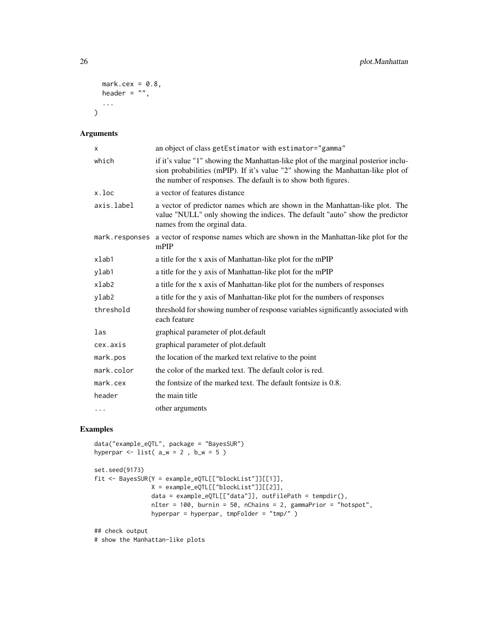```
mark.cex = 0.8,
  header = ",
  ...
\mathcal{L}
```

| X           | an object of class getEstimator with estimator="gamma"                                                                                                                                                                                 |
|-------------|----------------------------------------------------------------------------------------------------------------------------------------------------------------------------------------------------------------------------------------|
| which       | if it's value "1" showing the Manhattan-like plot of the marginal posterior inclu-<br>sion probabilities (mPIP). If it's value "2" showing the Manhattan-like plot of<br>the number of responses. The default is to show both figures. |
| x.loc       | a vector of features distance                                                                                                                                                                                                          |
| axis.label  | a vector of predictor names which are shown in the Manhattan-like plot. The<br>value "NULL" only showing the indices. The default "auto" show the predictor<br>names from the orginal data.                                            |
|             | mark. responses a vector of response names which are shown in the Manhattan-like plot for the<br>mPIP                                                                                                                                  |
| xlab1       | a title for the x axis of Manhattan-like plot for the mPIP                                                                                                                                                                             |
| ylab1       | a title for the y axis of Manhattan-like plot for the mPIP                                                                                                                                                                             |
| $x$ lab $2$ | a title for the x axis of Manhattan-like plot for the numbers of responses                                                                                                                                                             |
| ylab2       | a title for the y axis of Manhattan-like plot for the numbers of responses                                                                                                                                                             |
| threshold   | threshold for showing number of response variables significantly associated with<br>each feature                                                                                                                                       |
| las         | graphical parameter of plot.default                                                                                                                                                                                                    |
| cex.axis    | graphical parameter of plot.default                                                                                                                                                                                                    |
| mark.pos    | the location of the marked text relative to the point                                                                                                                                                                                  |
| mark.color  | the color of the marked text. The default color is red.                                                                                                                                                                                |
| mark. cex   | the fontsize of the marked text. The default fontsize is 0.8.                                                                                                                                                                          |
| header      | the main title                                                                                                                                                                                                                         |
| $\cdots$    | other arguments                                                                                                                                                                                                                        |

# Examples

```
data("example_eQTL", package = "BayesSUR")
hyperpar \le list( a_w = 2, b_w = 5)
set.seed(9173)
fit <- BayesSUR(Y = example_eQTL[["blockList"]][[1]],
               X = example_eQTL[["blockList"]][[2]],
               data = example_eQTL[["data"]], outFilePath = tempdir(),
               nIter = 100, burnin = 50, nChains = 2, gammaPrior = "hotspot",
               hyperpar = hyperpar, tmpFolder = "tmp/" )
## check output
```
# show the Manhattan-like plots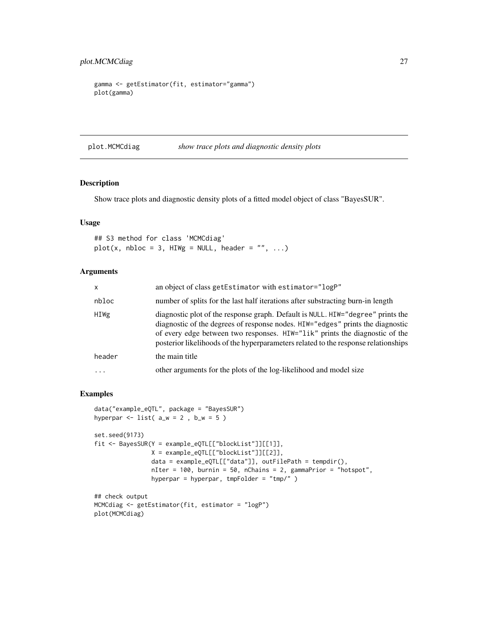```
gamma <- getEstimator(fit, estimator="gamma")
plot(gamma)
```
plot.MCMCdiag *show trace plots and diagnostic density plots*

# Description

Show trace plots and diagnostic density plots of a fitted model object of class "BayesSUR".

# Usage

## S3 method for class 'MCMCdiag'  $plot(x, nbloc = 3, HIWg = NULL, header = "", ...)$ 

# Arguments

| $\mathsf{x}$ | an object of class getEstimator with estimator="logP"                                                                                                                                                                                                                                                                                  |
|--------------|----------------------------------------------------------------------------------------------------------------------------------------------------------------------------------------------------------------------------------------------------------------------------------------------------------------------------------------|
| nbloc        | number of splits for the last half iterations after substracting burn-in length                                                                                                                                                                                                                                                        |
| HIWg         | diagnostic plot of the response graph. Default is NULL. HIW="degree" prints the<br>diagnostic of the degrees of response nodes. HIW="edges" prints the diagnostic<br>of every edge between two responses. HIW="lik" prints the diagnostic of the<br>posterior likelihoods of the hyperparameters related to the response relationships |
| header       | the main title                                                                                                                                                                                                                                                                                                                         |
| $\cdots$     | other arguments for the plots of the log-likelihood and model size                                                                                                                                                                                                                                                                     |

# Examples

plot(MCMCdiag)

```
data("example_eQTL", package = "BayesSUR")
hyperpar \le list( a_w = 2, b_w = 5)
set.seed(9173)
fit <- BayesSUR(Y = example_eQTL[["blockList"]][[1]],
               X = example_eQTL[["blockList"]][[2]],
                data = example_eQTL[["data"]], outFilePath = tempdir(),
                nIter = 100, burnin = 50, nChains = 2, gammaPrior = "hotspot",
                hyperpar = hyperpar, tmpFolder = "tmp/" )
## check output
MCMCdiag <- getEstimator(fit, estimator = "logP")
```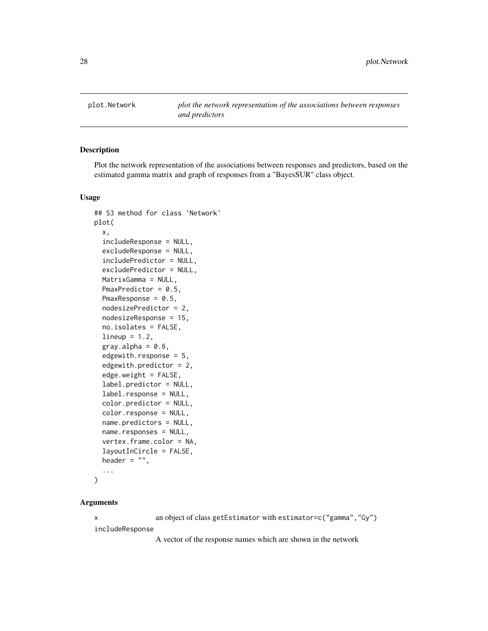<span id="page-27-0"></span>

# Description

Plot the network representation of the associations between responses and predictors, based on the estimated gamma matrix and graph of responses from a "BayesSUR" class object.

#### Usage

```
## S3 method for class 'Network'
plot(
 x,
  includeResponse = NULL,
 excludeResponse = NULL,
  includePredictor = NULL,
  excludePredictor = NULL,
 MatrixGamma = NULL,
 PmaxPredictor = 0.5,
 PmaxResponse = 0.5,
  nodesizePredictor = 2,
  nodesizeResponse = 15,
  no.isolates = FALSE,
  lineup = 1.2,
  gray.alpha = 0.6,
  edgewith.response = 5,
  edgewith.predictor = 2,
  edge.weight = FALSE,
  label.predictor = NULL,
  label.response = NULL,
  color.predictor = NULL,
  color.response = NULL,
  name.predictors = NULL,
  name.responses = NULL,
  vertex.frame.color = NA,
  layoutInCircle = FALSE,
  header = ",
  ...
)
```
#### Arguments

x an object of class getEstimator with estimator=c("gamma","Gy") includeResponse

A vector of the response names which are shown in the network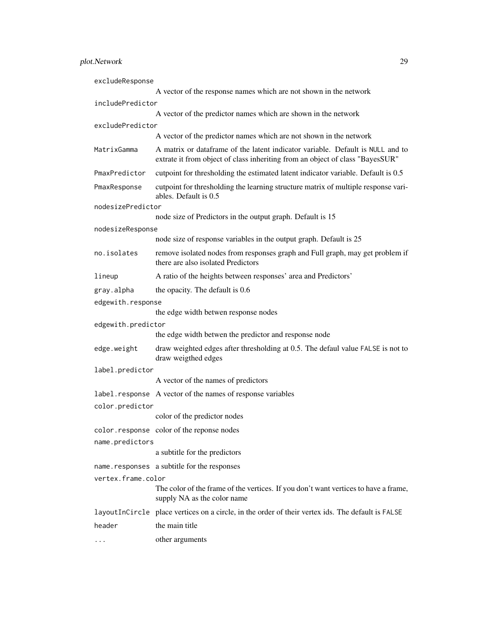| excludeResponse    |                                                                                                                                                                 |  |
|--------------------|-----------------------------------------------------------------------------------------------------------------------------------------------------------------|--|
|                    | A vector of the response names which are not shown in the network                                                                                               |  |
| includePredictor   |                                                                                                                                                                 |  |
|                    | A vector of the predictor names which are shown in the network                                                                                                  |  |
| excludePredictor   | A vector of the predictor names which are not shown in the network                                                                                              |  |
|                    |                                                                                                                                                                 |  |
| MatrixGamma        | A matrix or dataframe of the latent indicator variable. Default is NULL and to<br>extrate it from object of class inheriting from an object of class "BayesSUR" |  |
| PmaxPredictor      | cutpoint for thresholding the estimated latent indicator variable. Default is 0.5                                                                               |  |
| PmaxResponse       | cutpoint for thresholding the learning structure matrix of multiple response vari-<br>ables. Default is 0.5                                                     |  |
| nodesizePredictor  |                                                                                                                                                                 |  |
|                    | node size of Predictors in the output graph. Default is 15                                                                                                      |  |
| nodesizeResponse   | node size of response variables in the output graph. Default is 25                                                                                              |  |
|                    |                                                                                                                                                                 |  |
| no.isolates        | remove isolated nodes from responses graph and Full graph, may get problem if<br>there are also isolated Predictors                                             |  |
| lineup             | A ratio of the heights between responses' area and Predictors'                                                                                                  |  |
| gray.alpha         | the opacity. The default is 0.6                                                                                                                                 |  |
| edgewith.response  |                                                                                                                                                                 |  |
|                    | the edge width betwen response nodes                                                                                                                            |  |
| edgewith.predictor |                                                                                                                                                                 |  |
|                    | the edge width betwen the predictor and response node                                                                                                           |  |
| edge.weight        | draw weighted edges after thresholding at 0.5. The defaul value FALSE is not to<br>draw weigthed edges                                                          |  |
| label.predictor    |                                                                                                                                                                 |  |
|                    | A vector of the names of predictors                                                                                                                             |  |
|                    | label. response A vector of the names of response variables                                                                                                     |  |
| color.predictor    |                                                                                                                                                                 |  |
|                    | color of the predictor nodes                                                                                                                                    |  |
|                    | color.response color of the reponse nodes                                                                                                                       |  |
| name.predictors    |                                                                                                                                                                 |  |
|                    | a subtitle for the predictors                                                                                                                                   |  |
|                    | name.responses a subtitle for the responses                                                                                                                     |  |
| vertex.frame.color |                                                                                                                                                                 |  |
|                    | The color of the frame of the vertices. If you don't want vertices to have a frame,<br>supply NA as the color name                                              |  |
|                    | layout InCircle place vertices on a circle, in the order of their vertex ids. The default is FALSE                                                              |  |
| header             | the main title                                                                                                                                                  |  |
| .                  | other arguments                                                                                                                                                 |  |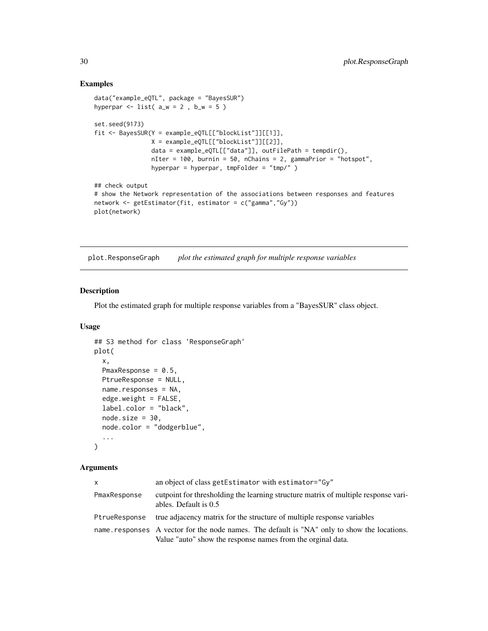#### Examples

```
data("example_eQTL", package = "BayesSUR")
hyperpar \le list( a_w = 2, b_w = 5)
set.seed(9173)
fit <- BayesSUR(Y = example_eQTL[["blockList"]][[1]],
               X = example_eQTL[["blockList"]][[2]],
                data = example_eQTL[["data"]], outFilePath = tempdir(),
                nIter = 100, burnin = 50, nChains = 2, gammaPrior = "hotspot",
                hyperpar = hyperpar, tmpFolder = "tmp/" )## check output
# show the Network representation of the associations between responses and features
network <- getEstimator(fit, estimator = c("gamma","Gy"))
plot(network)
```
plot.ResponseGraph *plot the estimated graph for multiple response variables*

# Description

Plot the estimated graph for multiple response variables from a "BayesSUR" class object.

# Usage

```
## S3 method for class 'ResponseGraph'
plot(
  x,
 PmaxResponse = 0.5,
 PtrueResponse = NULL,
  name.responses = NA,
  edge. weight = FALSE,label.color = "black",
  node.size = 30,node.color = "dodgerblue",
  ...
)
```
#### Arguments

| $\mathsf{x}$  | an object of class getEstimator with estimator="Gy"                                                                                                        |
|---------------|------------------------------------------------------------------------------------------------------------------------------------------------------------|
| PmaxResponse  | cutpoint for thresholding the learning structure matrix of multiple response vari-<br>ables. Default is 0.5                                                |
| PtrueResponse | true adjacency matrix for the structure of multiple response variables                                                                                     |
|               | name responses A vector for the node names. The default is "NA" only to show the locations.<br>Value "auto" show the response names from the orginal data. |

<span id="page-29-0"></span>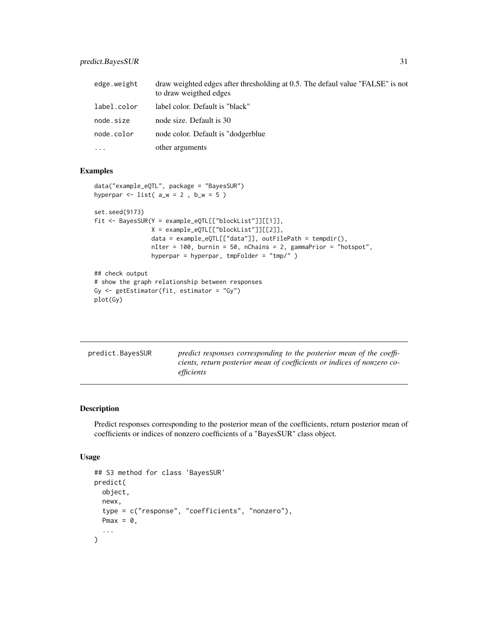# <span id="page-30-0"></span>predict.BayesSUR 31

| edge.weight | draw weighted edges after thresholding at 0.5. The defaul value "FALSE" is not<br>to draw weigthed edges |
|-------------|----------------------------------------------------------------------------------------------------------|
| label.color | label color. Default is "black"                                                                          |
| node.size   | node size. Default is 30                                                                                 |
| node.color  | node color. Default is "dodgerblue"                                                                      |
| $\cdots$    | other arguments                                                                                          |

# Examples

```
data("example_eQTL", package = "BayesSUR")
hyperpar \le list( a_w = 2, b_w = 5)
set.seed(9173)
fit <- BayesSUR(Y = example_eQTL[["blockList"]][[1]],
                X = example_eQTL[["blockList"]][[2]],
                data = example_eQTL[["data"]], outFilePath = tempdir(),
                nIter = 100, burnin = 50, nChains = 2, gammaPrior = "hotspot",
                hyperpar = hyperpar, tmpFolder = "tmp/" )
## check output
```

```
# show the graph relationship between responses
Gy \leftarrow getEstimator(fit, estimator = "Gy")plot(Gy)
```

| predict.BayesSUR | predict responses corresponding to the posterior mean of the coeffi-<br>cients, return posterior mean of coefficients or indices of nonzero co- |
|------------------|-------------------------------------------------------------------------------------------------------------------------------------------------|
|                  | efficients                                                                                                                                      |

# Description

Predict responses corresponding to the posterior mean of the coefficients, return posterior mean of coefficients or indices of nonzero coefficients of a "BayesSUR" class object.

```
## S3 method for class 'BayesSUR'
predict(
  object,
  newx,
  type = c("response", "coefficients", "nonzero"),
  Pmax = \theta,
  ...
\mathcal{L}
```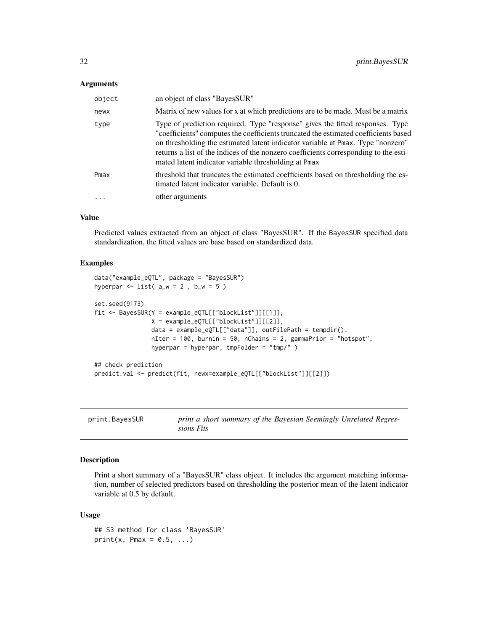<span id="page-31-0"></span>

| object | an object of class "BayesSUR"                                                                                                                                                                                                                                                                                                                                                                           |
|--------|---------------------------------------------------------------------------------------------------------------------------------------------------------------------------------------------------------------------------------------------------------------------------------------------------------------------------------------------------------------------------------------------------------|
| newx   | Matrix of new values for x at which predictions are to be made. Must be a matrix                                                                                                                                                                                                                                                                                                                        |
| type   | Type of prediction required. Type "response" gives the fitted responses. Type<br>"coefficients" computes the coefficients truncated the estimated coefficients based<br>on thresholding the estimated latent indicator variable at Pmax. Type "nonzero"<br>returns a list of the indices of the nonzero coefficients corresponding to the esti-<br>mated latent indicator variable thresholding at Pmax |
| Pmax   | threshold that truncates the estimated coefficients based on thresholding the es-<br>timated latent indicator variable. Default is 0.                                                                                                                                                                                                                                                                   |
| .      | other arguments                                                                                                                                                                                                                                                                                                                                                                                         |

#### Value

Predicted values extracted from an object of class "BayesSUR". If the BayesSUR specified data standardization, the fitted values are base based on standardized data.

# Examples

```
data("example_eQTL", package = "BayesSUR")
hyperpar \le list( a_w = 2, b_w = 5)
set.seed(9173)
fit <- BayesSUR(Y = example_eQTL[["blockList"]][[1]],
                X = example_eQTL[["blockList"]][[2]],
                data = example_eQTL[["data"]], outFilePath = tempdir(),
                nIter = 100, burnin = 50, nChains = 2, gammaPrior = "hotspot",
                hyperpar = hyperpar, tmpFolder = "tmp/" )
## check prediction
predict.val <- predict(fit, newx=example_eQTL[["blockList"]][[2]])
```

| print.BayesSUR | print a short summary of the Bayesian Seemingly Unrelated Regres- |
|----------------|-------------------------------------------------------------------|
|                | sions Fits                                                        |

# Description

Print a short summary of a "BayesSUR" class object. It includes the argument matching information, number of selected predictors based on thresholding the posterior mean of the latent indicator variable at 0.5 by default.

```
## S3 method for class 'BayesSUR'
print(x, Pmax = 0.5, ...)
```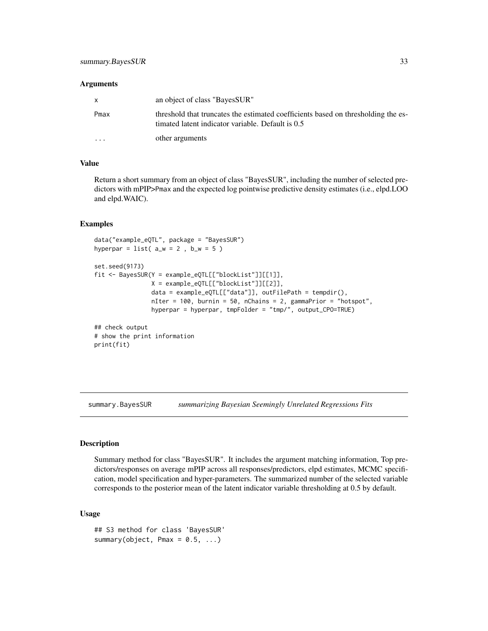<span id="page-32-0"></span>

| X        | an object of class "BayesSUR"                                                                                                          |
|----------|----------------------------------------------------------------------------------------------------------------------------------------|
| Pmax     | threshold that truncates the estimated coefficients based on thresholding the es-<br>timated latent indicator variable. Default is 0.5 |
| $\cdots$ | other arguments                                                                                                                        |

#### Value

Return a short summary from an object of class "BayesSUR", including the number of selected predictors with mPIP>Pmax and the expected log pointwise predictive density estimates (i.e., elpd.LOO and elpd.WAIC).

## Examples

```
data("example_eQTL", package = "BayesSUR")
hyperpar = list(a_w = 2, b_w = 5)
set.seed(9173)
fit <- BayesSUR(Y = example_eQTL[["blockList"]][[1]],
                X = example_eQTL[["blockList"]][[2]],
                data = example_eQTL[["data"]], outFilePath = tempdir(),
                nIter = 100, burnin = 50, nChains = 2, gammaPrior = "hotspot",
                hyperpar = hyperpar, tmpFolder = "tmp/", output_CPO=TRUE)
## check output
# show the print information
print(fit)
```
summary.BayesSUR *summarizing Bayesian Seemingly Unrelated Regressions Fits*

# Description

Summary method for class "BayesSUR". It includes the argument matching information, Top predictors/responses on average mPIP across all responses/predictors, elpd estimates, MCMC specification, model specification and hyper-parameters. The summarized number of the selected variable corresponds to the posterior mean of the latent indicator variable thresholding at 0.5 by default.

```
## S3 method for class 'BayesSUR'
summary(object, Pmax = 0.5, ...)
```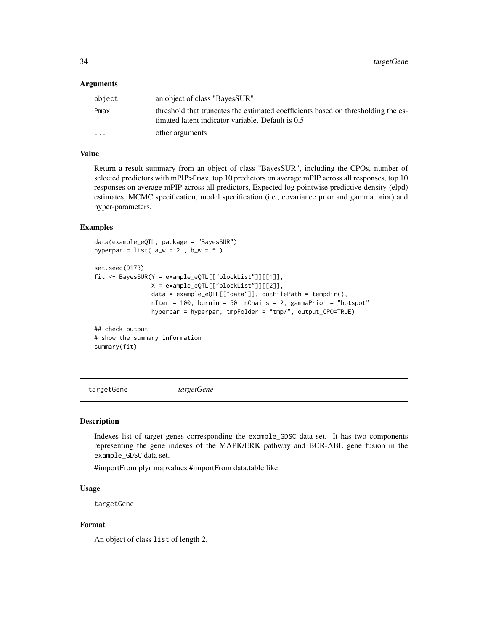<span id="page-33-0"></span>

| object   | an object of class "BayesSUR"                                                                                                          |
|----------|----------------------------------------------------------------------------------------------------------------------------------------|
| Pmax     | threshold that truncates the estimated coefficients based on thresholding the es-<br>timated latent indicator variable. Default is 0.5 |
| $\cdots$ | other arguments                                                                                                                        |

### Value

Return a result summary from an object of class "BayesSUR", including the CPOs, number of selected predictors with mPIP>Pmax, top 10 predictors on average mPIP across all responses, top 10 responses on average mPIP across all predictors, Expected log pointwise predictive density (elpd) estimates, MCMC specification, model specification (i.e., covariance prior and gamma prior) and hyper-parameters.

# Examples

```
data(example_eQTL, package = "BayesSUR")
hyperpar = list(a_w = 2, b_w = 5)
set.seed(9173)
fit <- BayesSUR(Y = example_eQTL[["blockList"]][[1]],
                X = example_eQTL[["blockList"]][[2]],
                data = example_eQTL[["data"]], outFilePath = tempdir(),
                nIter = 100, burnin = 50, nChains = 2, gammaPrior = "hotspot",
                hyperpar = hyperpar, tmpFolder = "tmp/", output_CPO=TRUE)
## check output
# show the summary information
summary(fit)
```
targetGene *targetGene*

#### Description

Indexes list of target genes corresponding the example\_GDSC data set. It has two components representing the gene indexes of the MAPK/ERK pathway and BCR-ABL gene fusion in the example\_GDSC data set.

#importFrom plyr mapvalues #importFrom data.table like

#### Usage

targetGene

#### Format

An object of class list of length 2.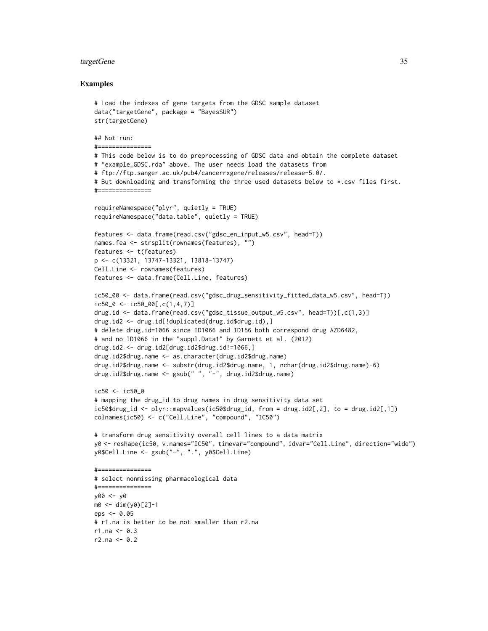#### targetGene 35

#### Examples

```
# Load the indexes of gene targets from the GDSC sample dataset
data("targetGene", package = "BayesSUR")
str(targetGene)
## Not run:
#===============
# This code below is to do preprocessing of GDSC data and obtain the complete dataset
# "example_GDSC.rda" above. The user needs load the datasets from
# ftp://ftp.sanger.ac.uk/pub4/cancerrxgene/releases/release-5.0/.
# But downloading and transforming the three used datasets below to *.csv files first.
#===============
requireNamespace("plyr", quietly = TRUE)
requireNamespace("data.table", quietly = TRUE)
features <- data.frame(read.csv("gdsc_en_input_w5.csv", head=T))
names.fea <- strsplit(rownames(features), "")
features <- t(features)
p <- c(13321, 13747-13321, 13818-13747)
Cell.Line <- rownames(features)
features <- data.frame(Cell.Line, features)
ic50_00 <- data.frame(read.csv("gdsc_drug_sensitivity_fitted_data_w5.csv", head=T))
ic50_0 \leftarrow ic50_00[,c(1,4,7)]drug.id <- data.frame(read.csv("gdsc_tissue_output_w5.csv", head=T))[,c(1,3)]
drug.id2 <- drug.id[!duplicated(drug.id$drug.id),]
# delete drug.id=1066 since ID1066 and ID156 both correspond drug AZD6482,
# and no ID1066 in the "suppl.Data1" by Garnett et al. (2012)
drug.id2 <- drug.id2[drug.id2$drug.id!=1066,]
drug.id2$drug.name <- as.character(drug.id2$drug.name)
drug.id2$drug.name <- substr(drug.id2$drug.name, 1, nchar(drug.id2$drug.name)-6)
drug.id2$drug.name <- gsub(" ", "-", drug.id2$drug.name)
ic50 <- ic50_0
# mapping the drug_id to drug names in drug sensitivity data set
ic50$drug_id <- plyr::mapvalues(ic50$drug_id, from = drug.id2[,2], to = drug.id2[,1])
colnames(ic50) <- c("Cell.Line", "compound", "IC50")
# transform drug sensitivity overall cell lines to a data matrix
y0 <- reshape(ic50, v.names="IC50", timevar="compound", idvar="Cell.Line", direction="wide")
y0$Cell.Line <- gsub("-", ".", y0$Cell.Line)
#===============
# select nonmissing pharmacological data
#===============
y00 <- y0
m0 <- dim(y0)[2]-1
eps < -0.05# r1.na is better to be not smaller than r2.na
r1.na < -0.3r2.na < -0.2
```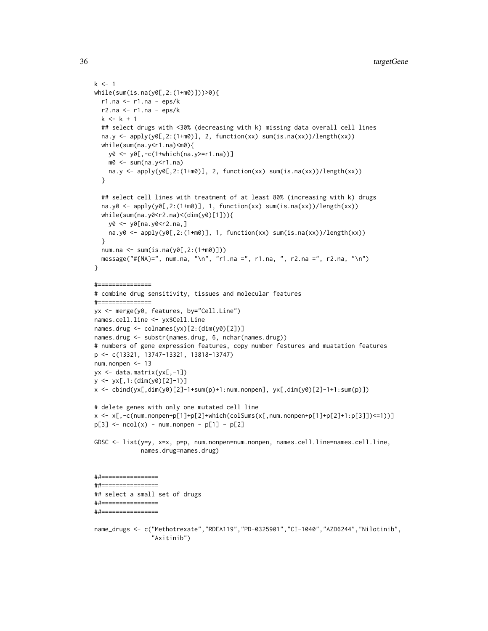```
k < -1while(sum(is.na(y0[,2:(1+m0)]))>0){
  r1.na <- r1.na - eps/k
  r2.na \le r1.na - eps/kk < -k + 1## select drugs with <30% (decreasing with k) missing data overall cell lines
  na.y <- apply(y0[,2:(1+m0)], 2, function(xx) sum(is.na(xx))/length(xx))
  while(sum(na.y<r1.na)<m0){
   y0 <- y0[,-c(1+which(na.y>=r1.na))]
   m0 <- sum(na.y<r1.na)
   na.y <- apply(y0[,2:(1+m0)], 2, function(xx) sum(is.na(xx))/length(xx))
  }
  ## select cell lines with treatment of at least 80% (increasing with k) drugs
  na.y0 <- apply(y0[,2:(1+m0)], 1, function(xx) sum(is.na(xx))/length(xx))while(sum(na.y0<r2.na)<(dim(y0)[1])){
   y0 <- y0[na.y0<r2.na,]
   na.y0 <- apply(y0[,2:(1+m0)], 1, function(xx) sum(is.na(xx))/length(xx))
  }
  num.na <- sum(is.na(y0[,2:(1+m0)]))
  message("#{NA}=", num.na, "\n", "r1.na =", r1.na, ", r2.na =", r2.na, "\n")
}
#===============
# combine drug sensitivity, tissues and molecular features
#===============
yx <- merge(y0, features, by="Cell.Line")
names.cell.line <- yx$Cell.Line
names.drug <- colnames(yx)[2:(dim(y0)[2])]
names.drug <- substr(names.drug, 6, nchar(names.drug))
# numbers of gene expression features, copy number festures and muatation features
p <- c(13321, 13747-13321, 13818-13747)
num.nonpen <- 13
yx <- data.matrix(yx[,-1])
y <- yx[,1:(dim(y0)[2]-1)]
x <- cbind(yx[,dim(y0)[2]-1+sum(p)+1:num.nonpen], yx[,dim(y0)[2]-1+1:sum(p)])
# delete genes with only one mutated cell line
x <- x[,-c(num.nonpen+p[1]+p[2]+which(colSums(x[,num.nonpen+p[1]+p[2]+1:p[3]])<=1))]
p[3] <- ncol(x) - num.nonpen - p[1] - p[2]GDSC <- list(y=y, x=x, p=p, num.nonpen=num.nonpen, names.cell.line=names.cell.line,
             names.drug=names.drug)
##================
##================
## select a small set of drugs
##================
##================
name_drugs <- c("Methotrexate","RDEA119","PD-0325901","CI-1040","AZD6244","Nilotinib",
```
"Axitinib")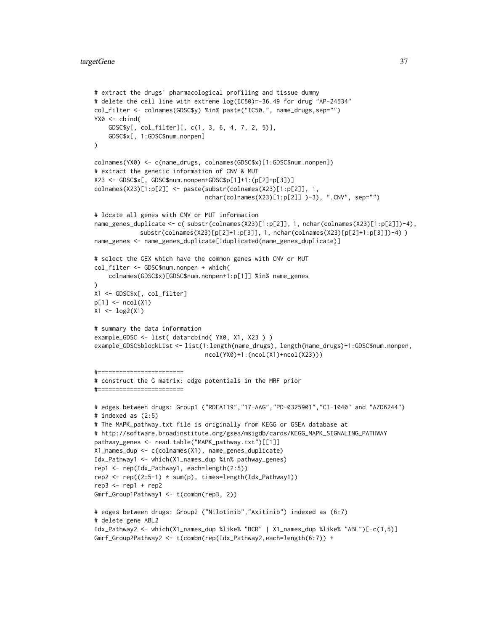```
# extract the drugs' pharmacological profiling and tissue dummy
# delete the cell line with extreme log(IC50)=-36.49 for drug "AP-24534"
col_filter <- colnames(GDSC$y) %in% paste("IC50.", name_drugs,sep="")
YX0 \leq - \text{cbind}(GDSC$y[, col_filter][, c(1, 3, 6, 4, 7, 2, 5)],
    GDSC$x[, 1:GDSC$num.nonpen]
\mathcal{L}colnames(YX0) <- c(name_drugs, colnames(GDSC$x)[1:GDSC$num.nonpen])
# extract the genetic information of CNV & MUT
X23 <- GDSC$x[, GDSC$num.nonpen+GDSC$p[1]+1:(p[2]+p[3])]
colnames(X23)[1:p[2]] <- paste(substr(colnames(X23)[1:p[2]], 1,
                               nchar(colnames(X23)[1:p[2]] )-3), ".CNV", sep="")
# locate all genes with CNV or MUT information
name_genes_duplicate <- c( substr(colnames(X23)[1:p[2]], 1, nchar(colnames(X23)[1:p[2]])-4),
             substr(colnames(X23)[p[2]+1:p[3]], 1, nchar(colnames(X23)[p[2]+1:p[3]])-4) )
name_genes <- name_genes_duplicate[!duplicated(name_genes_duplicate)]
# select the GEX which have the common genes with CNV or MUT
col_filter <- GDSC$num.nonpen + which(
    colnames(GDSC$x)[GDSC$num.nonpen+1:p[1]] %in% name_genes
)
X1 <- GDSC$x[, col_filter]
p[1] <- ncol(X1)X1 <- log2(X1)
# summary the data information
example_GDSC <- list( data=cbind( YX0, X1, X23 ) )
example_GDSC$blockList <- list(1:length(name_drugs), length(name_drugs)+1:GDSC$num.nonpen,
                               ncol(YX0)+1:(ncol(X1)+ncol(X23)))
#========================
# construct the G matrix: edge potentials in the MRF prior
#========================
# edges between drugs: Group1 ("RDEA119","17-AAG","PD-0325901","CI-1040" and "AZD6244")
# indexed as (2:5)
# The MAPK_pathway.txt file is originally from KEGG or GSEA database at
# http://software.broadinstitute.org/gsea/msigdb/cards/KEGG_MAPK_SIGNALING_PATHWAY
pathway_genes <- read.table("MAPK_pathway.txt")[[1]]
X1_names_dup <- c(colnames(X1), name_genes_duplicate)
Idx_Pathway1 <- which(X1_names_dup %in% pathway_genes)
rep1 <- rep(Idx_Pathway1, each=length(2:5))
rep2 <- rep((2:5-1) * sum(p), times=length(Idx_Pathway1))
rep3 \le rep1 + rep2Gmrf_Group1Pathway1 <- t(combn(rep3, 2))
# edges between drugs: Group2 ("Nilotinib","Axitinib") indexed as (6:7)
# delete gene ABL2
Idx_Pathway2 <- which(X1_names_dup %like% "BCR" | X1_names_dup %like% "ABL")[-c(3,5)]
Gmrf_Group2Pathway2 <- t(combn(rep(Idx_Pathway2,each=length(6:7)) +
```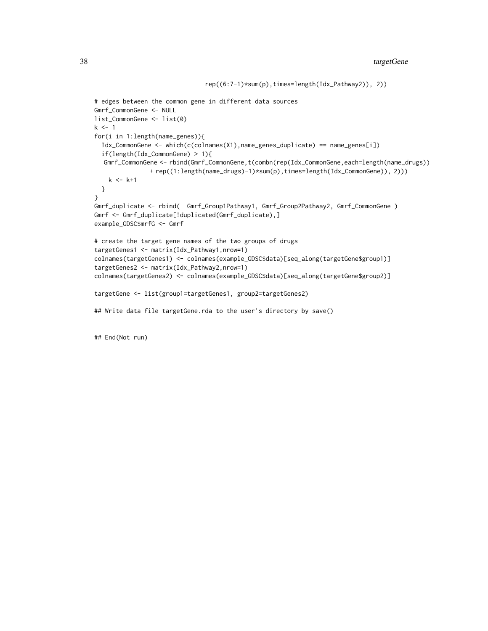```
# edges between the common gene in different data sources
Gmrf_CommonGene <- NULL
list_CommonGene <- list(0)
k \leq -1for(i in 1:length(name_genes)){
  Idx_CommonGene <- which(c(colnames(X1),name_genes_duplicate) == name_genes[i])
  if(length(Idx_CommonGene) > 1){
  Gmrf_CommonGene <- rbind(Gmrf_CommonGene,t(combn(rep(Idx_CommonGene,each=length(name_drugs))
               + rep((1:length(name_drugs)-1)*sum(p),times=length(Idx_CommonGene)), 2)))
   k <- k+1
  }
}
Gmrf_duplicate <- rbind( Gmrf_Group1Pathway1, Gmrf_Group2Pathway2, Gmrf_CommonGene )
Gmrf <- Gmrf_duplicate[!duplicated(Gmrf_duplicate),]
example_GDSC$mrfG <- Gmrf
# create the target gene names of the two groups of drugs
targetGenes1 <- matrix(Idx_Pathway1,nrow=1)
colnames(targetGenes1) <- colnames(example_GDSC$data)[seq_along(targetGene$group1)]
targetGenes2 <- matrix(Idx_Pathway2,nrow=1)
colnames(targetGenes2) <- colnames(example_GDSC$data)[seq_along(targetGene$group2)]
targetGene <- list(group1=targetGenes1, group2=targetGenes2)
## Write data file targetGene.rda to the user's directory by save()
```
rep((6:7-1)\*sum(p),times=length(Idx\_Pathway2)), 2))

## End(Not run)